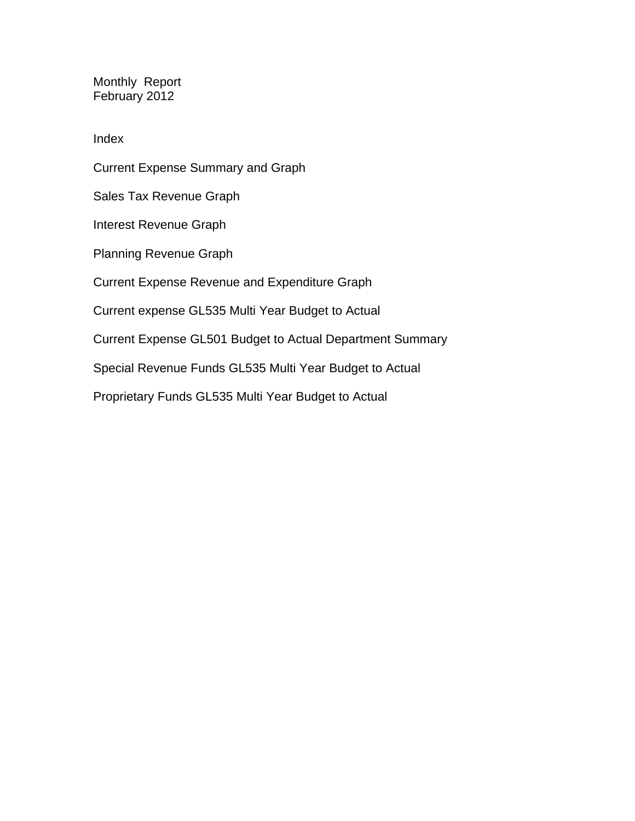Monthly Report February 2012

Index

Current Expense Summary and Graph Sales Tax Revenue Graph Interest Revenue Graph Planning Revenue Graph Current Expense Revenue and Expenditure Graph Current expense GL535 Multi Year Budget to Actual Current Expense GL501 Budget to Actual Department Summary Special Revenue Funds GL535 Multi Year Budget to Actual

Proprietary Funds GL535 Multi Year Budget to Actual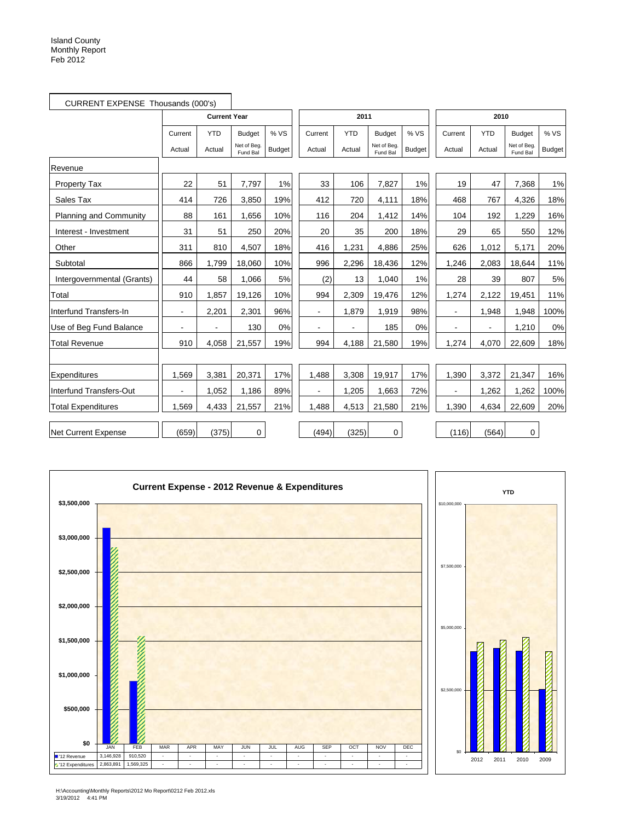|                               | CURRENT EXPENSE Thousands (000's) |                     |                         |               |                |            |                         |               |                          |            |                         |               |
|-------------------------------|-----------------------------------|---------------------|-------------------------|---------------|----------------|------------|-------------------------|---------------|--------------------------|------------|-------------------------|---------------|
|                               |                                   | <b>Current Year</b> |                         |               |                | 2011       |                         |               |                          | 2010       |                         |               |
|                               | Current                           | <b>YTD</b>          | <b>Budget</b>           | % VS          | Current        | <b>YTD</b> | <b>Budget</b>           | % VS          | Current                  | <b>YTD</b> | <b>Budget</b>           | % VS          |
|                               | Actual                            | Actual              | Net of Beg.<br>Fund Bal | <b>Budget</b> | Actual         | Actual     | Net of Beg.<br>Fund Bal | <b>Budget</b> | Actual                   | Actual     | Net of Beg.<br>Fund Bal | <b>Budget</b> |
| Revenue                       |                                   |                     |                         |               |                |            |                         |               |                          |            |                         |               |
| <b>Property Tax</b>           | 22                                | 51                  | 7,797                   | 1%            | 33             | 106        | 7,827                   | 1%            | 19                       | 47         | 7,368                   | 1%            |
| Sales Tax                     | 414                               | 726                 | 3,850                   | 19%           | 412            | 720        | 4,111                   | 18%           | 468                      | 767        | 4,326                   | 18%           |
| <b>Planning and Community</b> | 88                                | 161                 | 1,656                   | 10%           | 116            | 204        | 1.412                   | 14%           | 104                      | 192        | 1.229                   | 16%           |
| Interest - Investment         | 31                                | 51                  | 250                     | 20%           | 20             | 35         | 200                     | 18%           | 29                       | 65         | 550                     | 12%           |
| Other                         | 311                               | 810                 | 4,507                   | 18%           | 416            | 1,231      | 4,886                   | 25%           | 626                      | 1,012      | 5,171                   | 20%           |
| Subtotal                      | 866                               | 1,799               | 18,060                  | 10%           | 996            | 2,296      | 18,436                  | 12%           | 1,246                    | 2,083      | 18,644                  | 11%           |
| Intergovernmental (Grants)    | 44                                | 58                  | 1,066                   | 5%            | (2)            | 13         | 1.040                   | 1%            | 28                       | 39         | 807                     | 5%            |
| Total                         | 910                               | 1,857               | 19,126                  | 10%           | 994            | 2,309      | 19,476                  | 12%           | 1,274                    | 2,122      | 19,451                  | 11%           |
| Interfund Transfers-In        | $\blacksquare$                    | 2,201               | 2,301                   | 96%           | $\blacksquare$ | 1,879      | 1,919                   | 98%           | $\blacksquare$           | 1.948      | 1,948                   | 100%          |
| Use of Beg Fund Balance       |                                   |                     | 130                     | 0%            |                |            | 185                     | 0%            | $\overline{\phantom{a}}$ |            | 1,210                   | 0%            |
| <b>Total Revenue</b>          | 910                               | 4,058               | 21,557                  | 19%           | 994            | 4,188      | 21,580                  | 19%           | 1,274                    | 4,070      | 22,609                  | 18%           |
|                               |                                   |                     |                         |               |                |            |                         |               |                          |            |                         |               |
| Expenditures                  | 1,569                             | 3,381               | 20,371                  | 17%           | 1,488          | 3,308      | 19,917                  | 17%           | 1,390                    | 3,372      | 21,347                  | 16%           |
| Interfund Transfers-Out       |                                   | 1,052               | 1,186                   | 89%           |                | 1,205      | 1,663                   | 72%           | $\overline{\phantom{a}}$ | 1,262      | 1,262                   | 100%          |
| <b>Total Expenditures</b>     | 1,569                             | 4,433               | 21,557                  | 21%           | 1,488          | 4,513      | 21,580                  | 21%           | 1,390                    | 4,634      | 22,609                  | 20%           |
| <b>Net Current Expense</b>    | (659)                             | (375)               | 0                       |               | (494)          | (325)      | 0                       |               | (116)                    | (564)      | 0                       |               |



Z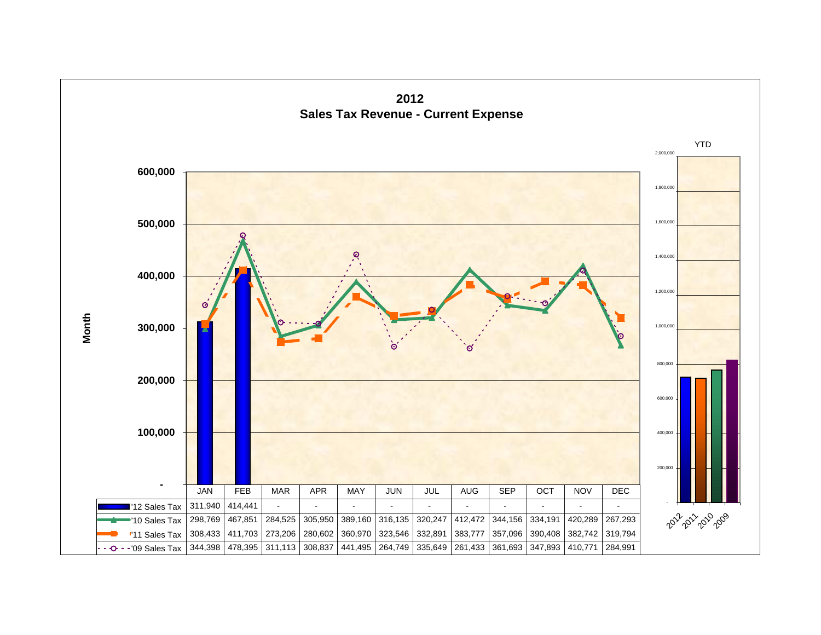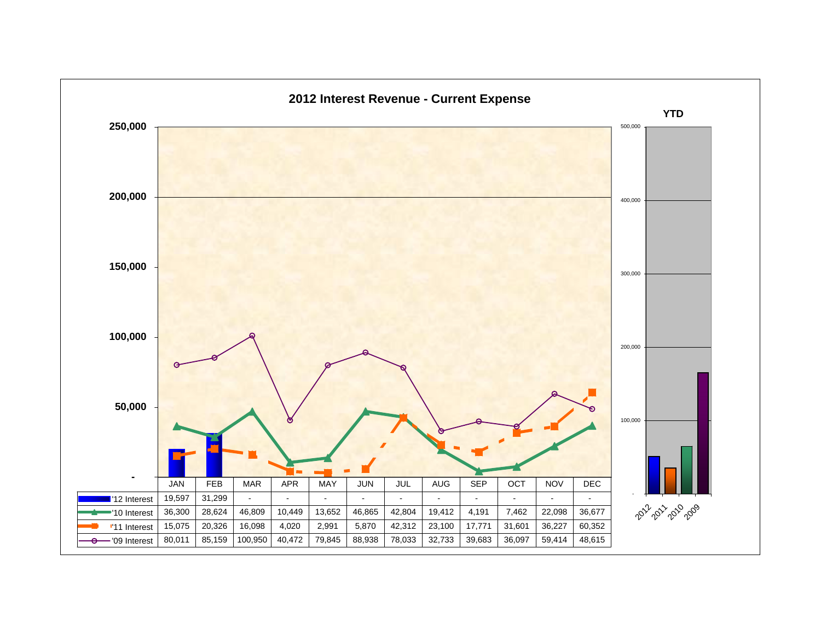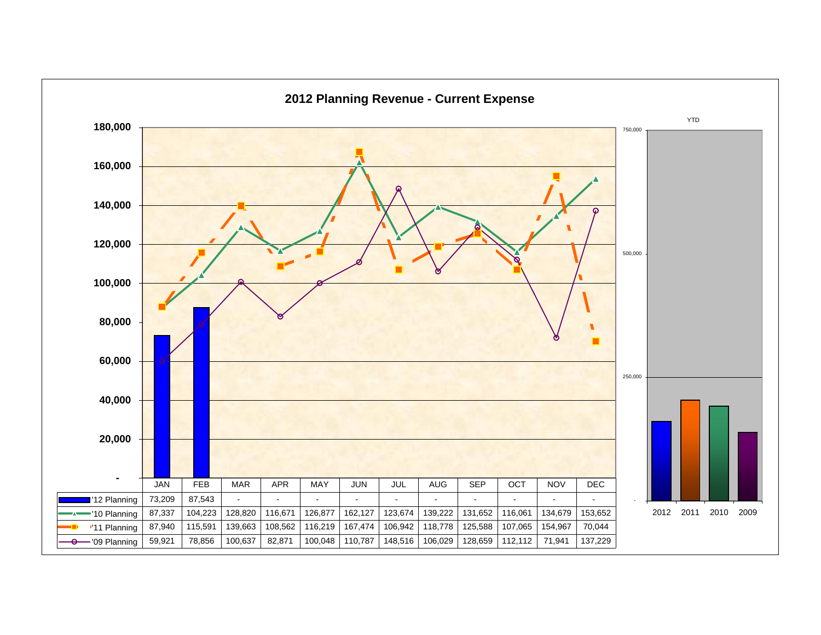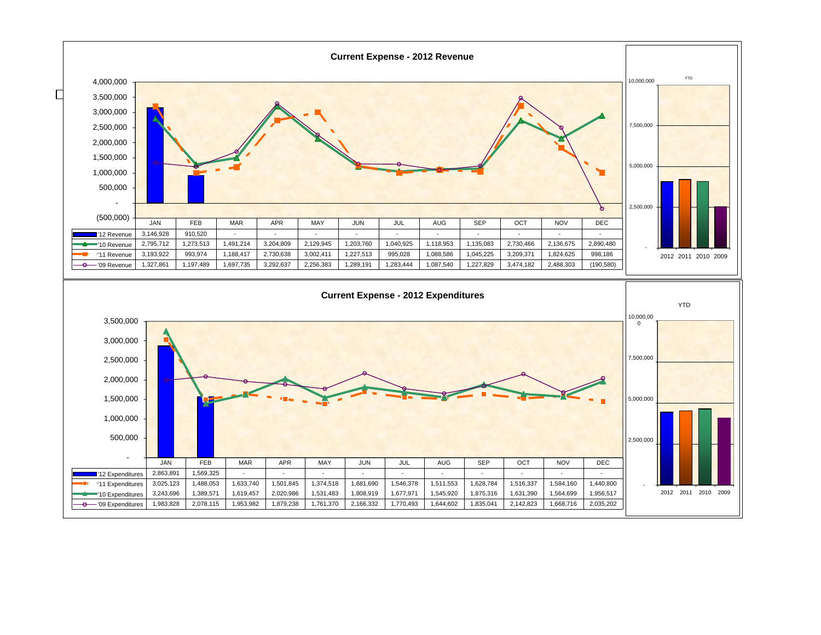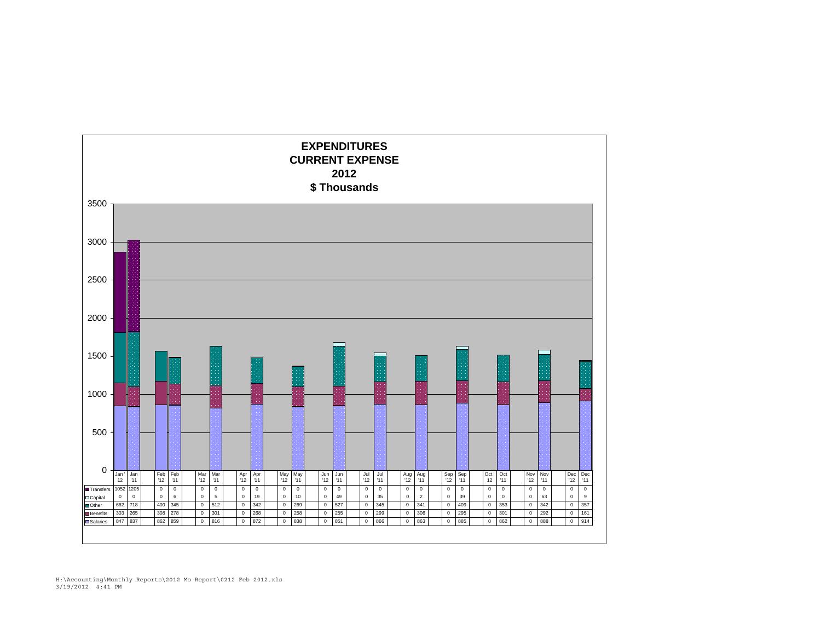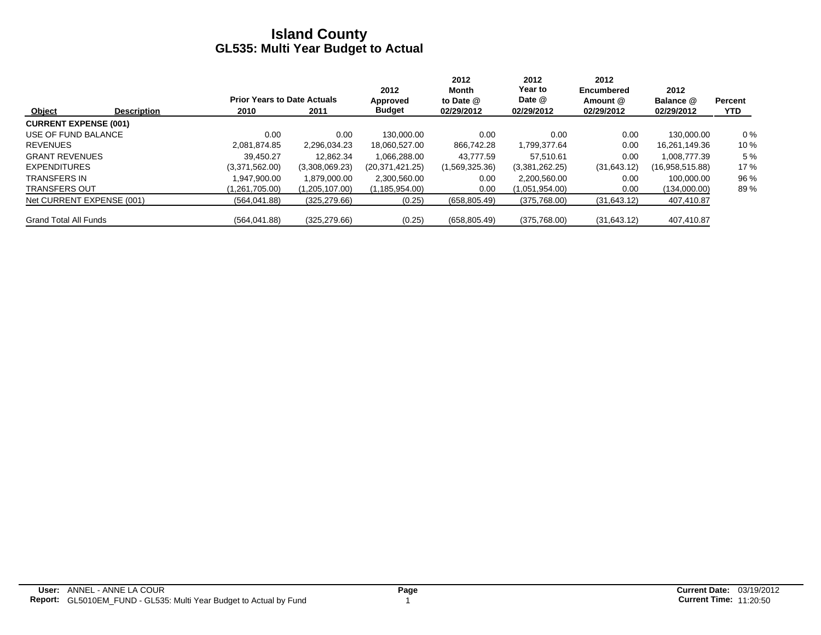|                              |                    |                                    |                | 2012             | 2012<br>Month  | 2012<br>Year to | 2012<br><b>Encumbered</b> | 2012            |                |
|------------------------------|--------------------|------------------------------------|----------------|------------------|----------------|-----------------|---------------------------|-----------------|----------------|
|                              |                    | <b>Prior Years to Date Actuals</b> |                | Approved         | to Date @      | Date @          | Amount @                  | Balance @       | <b>Percent</b> |
| Object                       | <b>Description</b> | 2010                               | 2011           | <b>Budget</b>    | 02/29/2012     | 02/29/2012      | 02/29/2012                | 02/29/2012      | <b>YTD</b>     |
| <b>CURRENT EXPENSE (001)</b> |                    |                                    |                |                  |                |                 |                           |                 |                |
| USE OF FUND BALANCE          |                    | 0.00                               | 0.00           | 130.000.00       | 0.00           | 0.00            | 0.00                      | 130.000.00      | $0\%$          |
| <b>REVENUES</b>              |                    | 2.081.874.85                       | 2.296.034.23   | 18.060.527.00    | 866.742.28     | 1,799,377.64    | 0.00                      | 16.261.149.36   | 10 %           |
| <b>GRANT REVENUES</b>        |                    | 39.450.27                          | 12.862.34      | 1.066.288.00     | 43.777.59      | 57.510.61       | 0.00                      | 1.008.777.39    | 5 %            |
| <b>EXPENDITURES</b>          |                    | (3,371,562.00)                     | (3,308,069.23) | (20.371.421.25)  | (1,569,325.36) | (3,381,262.25)  | (31,643.12)               | (16,958,515.88) | 17 %           |
| <b>TRANSFERS IN</b>          |                    | .947.900.00                        | 1.879.000.00   | 2,300,560.00     | 0.00           | 2,200,560.00    | 0.00                      | 100.000.00      | 96 %           |
| <b>TRANSFERS OUT</b>         |                    | (1,261,705.00)                     | (1,205,107.00) | (1, 185, 954.00) | 0.00           | (1,051,954.00)  | 0.00                      | (134,000.00)    | 89%            |
| Net CURRENT EXPENSE (001)    |                    | (564, 041.88)                      | (325, 279.66)  | (0.25)           | (658, 805.49)  | (375,768.00)    | (31,643.12)               | 407,410.87      |                |
| <b>Grand Total All Funds</b> |                    | (564, 041.88)                      | (325, 279.66)  | (0.25)           | (658, 805.49)  | (375,768.00)    | (31,643.12)               | 407,410.87      |                |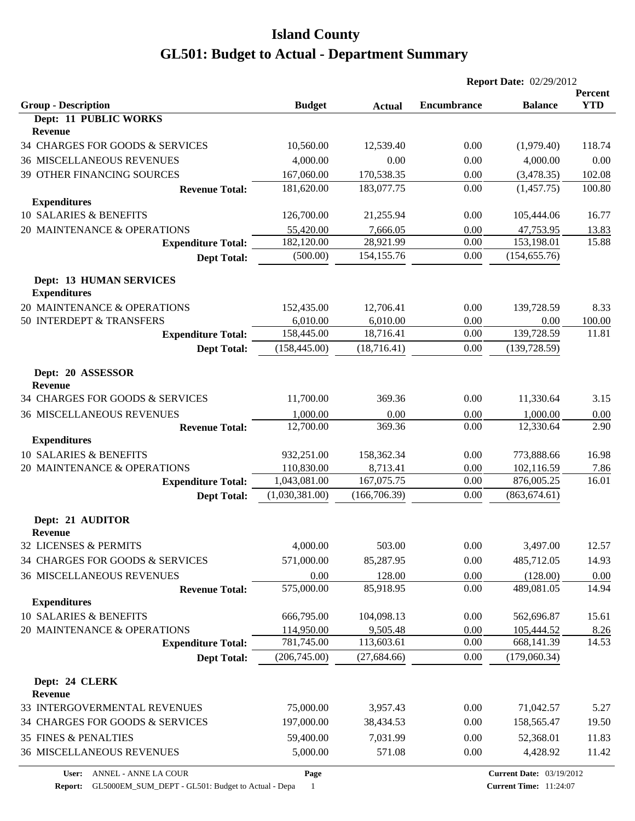|                                                       |                |               | <b>Report Date: 02/29/2012</b> |                                 |                              |
|-------------------------------------------------------|----------------|---------------|--------------------------------|---------------------------------|------------------------------|
| <b>Group - Description</b>                            | <b>Budget</b>  | <b>Actual</b> | <b>Encumbrance</b>             | <b>Balance</b>                  | <b>Percent</b><br><b>YTD</b> |
| <b>Dept: 11 PUBLIC WORKS</b>                          |                |               |                                |                                 |                              |
| <b>Revenue</b>                                        |                |               |                                |                                 |                              |
| 34 CHARGES FOR GOODS & SERVICES                       | 10,560.00      | 12,539.40     | 0.00                           | (1,979.40)                      | 118.74                       |
| <b>36 MISCELLANEOUS REVENUES</b>                      | 4,000.00       | 0.00          | 0.00                           | 4,000.00                        | 0.00                         |
| 39 OTHER FINANCING SOURCES                            | 167,060.00     | 170,538.35    | 0.00                           | (3,478.35)                      | 102.08                       |
| <b>Revenue Total:</b>                                 | 181,620.00     | 183,077.75    | 0.00                           | (1,457.75)                      | 100.80                       |
| <b>Expenditures</b>                                   |                |               |                                |                                 |                              |
| 10 SALARIES & BENEFITS                                | 126,700.00     | 21,255.94     | 0.00                           | 105,444.06                      | 16.77                        |
| 20 MAINTENANCE & OPERATIONS                           | 55,420.00      | 7,666.05      | 0.00                           | 47,753.95                       | 13.83                        |
| <b>Expenditure Total:</b>                             | 182,120.00     | 28,921.99     | 0.00                           | 153,198.01                      | 15.88                        |
| <b>Dept Total:</b>                                    | (500.00)       | 154, 155.76   | 0.00                           | (154, 655.76)                   |                              |
| <b>Dept: 13 HUMAN SERVICES</b><br><b>Expenditures</b> |                |               |                                |                                 |                              |
| 20 MAINTENANCE & OPERATIONS                           | 152,435.00     | 12,706.41     | 0.00                           | 139,728.59                      | 8.33                         |
| 50 INTERDEPT & TRANSFERS                              | 6,010.00       | 6,010.00      | 0.00                           | 0.00                            | 100.00                       |
| <b>Expenditure Total:</b>                             | 158,445.00     | 18,716.41     | 0.00                           | 139,728.59                      | 11.81                        |
| <b>Dept Total:</b>                                    | (158, 445.00)  | (18,716.41)   | 0.00                           | (139, 728.59)                   |                              |
| Dept: 20 ASSESSOR<br><b>Revenue</b>                   |                |               |                                |                                 |                              |
| 34 CHARGES FOR GOODS & SERVICES                       | 11,700.00      | 369.36        | 0.00                           | 11,330.64                       | 3.15                         |
| <b>36 MISCELLANEOUS REVENUES</b>                      | 1,000.00       | 0.00          | 0.00                           | 1,000.00                        | 0.00                         |
| <b>Revenue Total:</b>                                 | 12,700.00      | 369.36        | 0.00                           | 12,330.64                       | 2.90                         |
| <b>Expenditures</b>                                   |                |               |                                |                                 |                              |
| 10 SALARIES & BENEFITS                                | 932,251.00     | 158,362.34    | 0.00                           | 773,888.66                      | 16.98                        |
| 20 MAINTENANCE & OPERATIONS                           | 110,830.00     | 8,713.41      | 0.00                           | 102,116.59                      | 7.86                         |
| <b>Expenditure Total:</b>                             | 1,043,081.00   | 167,075.75    | 0.00                           | 876,005.25                      | 16.01                        |
| <b>Dept Total:</b>                                    | (1,030,381.00) | (166, 706.39) | 0.00                           | (863, 674.61)                   |                              |
| Dept: 21 AUDITOR<br><b>Revenue</b>                    |                |               |                                |                                 |                              |
| 32 LICENSES & PERMITS                                 | 4,000.00       | 503.00        | 0.00                           | 3,497.00                        | 12.57                        |
| 34 CHARGES FOR GOODS & SERVICES                       | 571,000.00     | 85,287.95     | 0.00                           | 485,712.05                      | 14.93                        |
| <b>36 MISCELLANEOUS REVENUES</b>                      | 0.00           | 128.00        | 0.00                           | (128.00)                        | 0.00                         |
| <b>Revenue Total:</b>                                 | 575,000.00     | 85,918.95     | 0.00                           | 489,081.05                      | 14.94                        |
| <b>Expenditures</b>                                   |                |               |                                |                                 |                              |
| 10 SALARIES & BENEFITS                                | 666,795.00     | 104,098.13    | 0.00                           | 562,696.87                      | 15.61                        |
| 20 MAINTENANCE & OPERATIONS                           | 114,950.00     | 9,505.48      | 0.00                           | 105,444.52                      | 8.26                         |
| <b>Expenditure Total:</b>                             | 781,745.00     | 113,603.61    | 0.00                           | 668,141.39                      | 14.53                        |
| <b>Dept Total:</b>                                    | (206,745.00)   | (27, 684.66)  | 0.00                           | (179,060.34)                    |                              |
| Dept: 24 CLERK<br>Revenue                             |                |               |                                |                                 |                              |
| 33 INTERGOVERMENTAL REVENUES                          | 75,000.00      | 3,957.43      | 0.00                           | 71,042.57                       | 5.27                         |
| 34 CHARGES FOR GOODS & SERVICES                       | 197,000.00     | 38,434.53     | 0.00                           | 158,565.47                      | 19.50                        |
| 35 FINES & PENALTIES                                  | 59,400.00      | 7,031.99      | 0.00                           | 52,368.01                       | 11.83                        |
| 36 MISCELLANEOUS REVENUES                             | 5,000.00       | 571.08        | 0.00                           | 4,428.92                        | 11.42                        |
| ANNEL - ANNE LA COUR<br>User:                         | Page           |               |                                | <b>Current Date: 03/19/2012</b> |                              |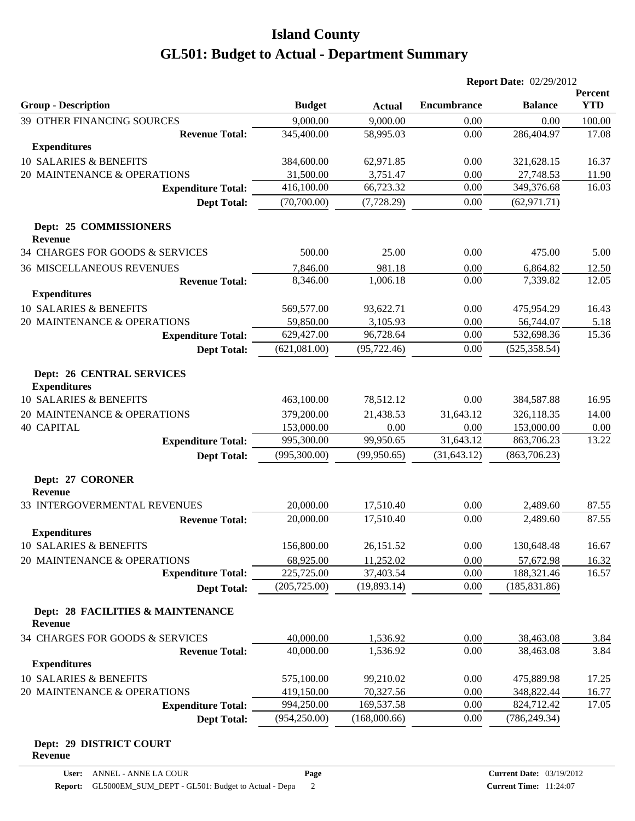|                                                           |                         |                       | <b>Report Date: 02/29/2012</b> |                         |                |
|-----------------------------------------------------------|-------------------------|-----------------------|--------------------------------|-------------------------|----------------|
|                                                           |                         |                       |                                |                         | Percent        |
| <b>Group - Description</b>                                | <b>Budget</b>           | <b>Actual</b>         | <b>Encumbrance</b>             | <b>Balance</b>          | <b>YTD</b>     |
| <b>39 OTHER FINANCING SOURCES</b>                         | 9,000.00                | 9,000.00              | 0.00                           | 0.00                    | 100.00         |
| <b>Revenue Total:</b>                                     | 345,400.00              | 58,995.03             | 0.00                           | 286,404.97              | 17.08          |
| <b>Expenditures</b>                                       |                         |                       |                                |                         |                |
| 10 SALARIES & BENEFITS                                    | 384,600.00              | 62,971.85             | 0.00                           | 321,628.15              | 16.37          |
| 20 MAINTENANCE & OPERATIONS                               | 31,500.00<br>416,100.00 | 3,751.47<br>66,723.32 | 0.00<br>0.00                   | 27,748.53<br>349,376.68 | 11.90<br>16.03 |
| <b>Expenditure Total:</b>                                 |                         |                       |                                |                         |                |
| <b>Dept Total:</b>                                        | (70,700.00)             | (7, 728.29)           | 0.00                           | (62, 971.71)            |                |
| Dept: 25 COMMISSIONERS<br><b>Revenue</b>                  |                         |                       |                                |                         |                |
| 34 CHARGES FOR GOODS & SERVICES                           | 500.00                  | 25.00                 | 0.00                           | 475.00                  | 5.00           |
|                                                           |                         |                       |                                |                         |                |
| <b>36 MISCELLANEOUS REVENUES</b><br><b>Revenue Total:</b> | 7,846.00<br>8,346.00    | 981.18<br>1,006.18    | 0.00<br>0.00                   | 6,864.82<br>7,339.82    | 12.50<br>12.05 |
| <b>Expenditures</b>                                       |                         |                       |                                |                         |                |
| 10 SALARIES & BENEFITS                                    | 569,577.00              | 93,622.71             | 0.00                           |                         |                |
| 20 MAINTENANCE & OPERATIONS                               | 59,850.00               | 3,105.93              | 0.00                           | 475,954.29<br>56,744.07 | 16.43<br>5.18  |
| <b>Expenditure Total:</b>                                 | 629,427.00              | 96,728.64             | 0.00                           | 532,698.36              | 15.36          |
| <b>Dept Total:</b>                                        | (621,081.00)            | (95, 722.46)          | 0.00                           | (525, 358.54)           |                |
|                                                           |                         |                       |                                |                         |                |
| <b>Dept: 26 CENTRAL SERVICES</b><br><b>Expenditures</b>   |                         |                       |                                |                         |                |
| 10 SALARIES & BENEFITS                                    | 463,100.00              | 78,512.12             | 0.00                           | 384,587.88              | 16.95          |
| 20 MAINTENANCE & OPERATIONS                               | 379,200.00              | 21,438.53             | 31,643.12                      | 326,118.35              | 14.00          |
| <b>40 CAPITAL</b>                                         | 153,000.00              | 0.00                  | 0.00                           | 153,000.00              | 0.00           |
| <b>Expenditure Total:</b>                                 | 995,300.00              | 99,950.65             | 31,643.12                      | 863,706.23              | 13.22          |
| <b>Dept Total:</b>                                        | (995,300.00)            | (99, 950.65)          | (31, 643.12)                   | (863,706.23)            |                |
|                                                           |                         |                       |                                |                         |                |
| Dept: 27 CORONER<br><b>Revenue</b>                        |                         |                       |                                |                         |                |
| 33 INTERGOVERMENTAL REVENUES                              | 20,000.00               | 17,510.40             | 0.00                           | 2,489.60                | 87.55          |
| <b>Revenue Total:</b>                                     | 20,000.00               | 17,510.40             | 0.00                           | 2,489.60                | 87.55          |
| <b>Expenditures</b>                                       |                         |                       |                                |                         |                |
| 10 SALARIES & BENEFITS                                    | 156,800.00              | 26,151.52             | 0.00                           | 130,648.48              | 16.67          |
| 20 MAINTENANCE & OPERATIONS                               | 68,925.00               | 11,252.02             | 0.00                           | 57,672.98               | 16.32          |
| <b>Expenditure Total:</b>                                 | 225,725.00              | 37,403.54             | 0.00                           | 188,321.46              | 16.57          |
| <b>Dept Total:</b>                                        | (205, 725.00)           | (19,893.14)           | 0.00                           | (185, 831.86)           |                |
| Dept: 28 FACILITIES & MAINTENANCE<br><b>Revenue</b>       |                         |                       |                                |                         |                |
| 34 CHARGES FOR GOODS & SERVICES                           | 40,000.00               | 1,536.92              | 0.00                           | 38,463.08               | 3.84           |
| <b>Revenue Total:</b>                                     | 40,000.00               | 1,536.92              | 0.00                           | 38,463.08               | 3.84           |
| <b>Expenditures</b>                                       |                         |                       |                                |                         |                |
| 10 SALARIES & BENEFITS                                    | 575,100.00              | 99,210.02             | 0.00                           | 475,889.98              | 17.25          |
| 20 MAINTENANCE & OPERATIONS                               | 419,150.00              | 70,327.56             | 0.00                           | 348,822.44              | 16.77          |
| <b>Expenditure Total:</b>                                 | 994,250.00              | 169,537.58            | 0.00                           | 824,712.42              | 17.05          |
| <b>Dept Total:</b>                                        | (954, 250.00)           | (168,000.66)          | 0.00                           | (786, 249.34)           |                |
|                                                           |                         |                       |                                |                         |                |
| Dept: 29 DISTRICT COURT                                   |                         |                       |                                |                         |                |

**Revenue**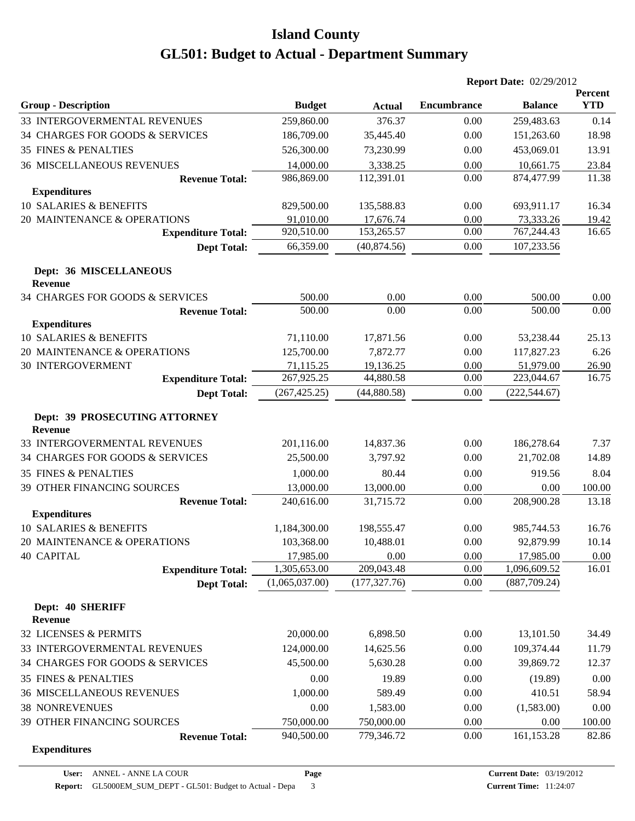|                                                 |                |               | <b>Report Date: 02/29/2012</b> |                |                       |
|-------------------------------------------------|----------------|---------------|--------------------------------|----------------|-----------------------|
| <b>Group - Description</b>                      | <b>Budget</b>  | <b>Actual</b> | <b>Encumbrance</b>             | <b>Balance</b> | Percent<br><b>YTD</b> |
| 33 INTERGOVERMENTAL REVENUES                    | 259,860.00     | 376.37        | 0.00                           | 259,483.63     | 0.14                  |
| 34 CHARGES FOR GOODS & SERVICES                 | 186,709.00     | 35,445.40     | 0.00                           | 151,263.60     | 18.98                 |
| <b>35 FINES &amp; PENALTIES</b>                 | 526,300.00     | 73,230.99     | 0.00                           | 453,069.01     | 13.91                 |
| <b>36 MISCELLANEOUS REVENUES</b>                | 14,000.00      | 3,338.25      | 0.00                           | 10,661.75      | 23.84                 |
| <b>Revenue Total:</b>                           | 986,869.00     | 112,391.01    | 0.00                           | 874,477.99     | 11.38                 |
| <b>Expenditures</b>                             |                |               |                                |                |                       |
| 10 SALARIES & BENEFITS                          | 829,500.00     | 135,588.83    | 0.00                           | 693,911.17     | 16.34                 |
| 20 MAINTENANCE & OPERATIONS                     | 91,010.00      | 17,676.74     | 0.00                           | 73,333.26      | 19.42                 |
| <b>Expenditure Total:</b>                       | 920,510.00     | 153,265.57    | 0.00                           | 767,244.43     | 16.65                 |
| <b>Dept Total:</b>                              | 66,359.00      | (40, 874.56)  | 0.00                           | 107,233.56     |                       |
| Dept: 36 MISCELLANEOUS<br><b>Revenue</b>        |                |               |                                |                |                       |
| 34 CHARGES FOR GOODS & SERVICES                 | 500.00         | 0.00          | 0.00                           | 500.00         | 0.00                  |
| <b>Revenue Total:</b>                           | 500.00         | 0.00          | 0.00                           | 500.00         | 0.00                  |
| <b>Expenditures</b>                             |                |               |                                |                |                       |
| 10 SALARIES & BENEFITS                          | 71,110.00      | 17,871.56     | 0.00                           | 53,238.44      | 25.13                 |
| 20 MAINTENANCE & OPERATIONS                     | 125,700.00     | 7,872.77      | 0.00                           | 117,827.23     | 6.26                  |
| <b>30 INTERGOVERMENT</b>                        | 71,115.25      | 19,136.25     | 0.00                           | 51,979.00      | 26.90                 |
| <b>Expenditure Total:</b>                       | 267,925.25     | 44,880.58     | 0.00                           | 223,044.67     | 16.75                 |
| <b>Dept Total:</b>                              | (267, 425.25)  | (44,880.58)   | 0.00                           | (222, 544.67)  |                       |
| Dept: 39 PROSECUTING ATTORNEY<br><b>Revenue</b> |                |               |                                |                |                       |
| 33 INTERGOVERMENTAL REVENUES                    | 201,116.00     | 14,837.36     | 0.00                           | 186,278.64     | 7.37                  |
| 34 CHARGES FOR GOODS & SERVICES                 | 25,500.00      | 3,797.92      | 0.00                           | 21,702.08      | 14.89                 |
| <b>35 FINES &amp; PENALTIES</b>                 | 1,000.00       | 80.44         | 0.00                           | 919.56         | 8.04                  |
| 39 OTHER FINANCING SOURCES                      | 13,000.00      | 13,000.00     | 0.00                           | 0.00           | 100.00                |
| <b>Revenue Total:</b>                           | 240,616.00     | 31,715.72     | 0.00                           | 208,900.28     | 13.18                 |
| <b>Expenditures</b>                             |                |               |                                |                |                       |
| 10 SALARIES & BENEFITS                          | 1,184,300.00   | 198,555.47    | 0.00                           | 985,744.53     | 16.76                 |
| 20 MAINTENANCE & OPERATIONS                     | 103,368.00     | 10,488.01     | 0.00                           | 92,879.99      | 10.14                 |
| <b>40 CAPITAL</b>                               | 17,985.00      | 0.00          | 0.00                           | 17,985.00      | 0.00                  |
| <b>Expenditure Total:</b>                       | 1,305,653.00   | 209,043.48    | 0.00                           | 1,096,609.52   | 16.01                 |
| <b>Dept Total:</b>                              | (1,065,037.00) | (177, 327.76) | 0.00                           | (887,709.24)   |                       |
| Dept: 40 SHERIFF<br>Revenue                     |                |               |                                |                |                       |
| 32 LICENSES & PERMITS                           | 20,000.00      | 6,898.50      | 0.00                           | 13,101.50      | 34.49                 |
| 33 INTERGOVERMENTAL REVENUES                    | 124,000.00     | 14,625.56     | 0.00                           | 109,374.44     | 11.79                 |
| 34 CHARGES FOR GOODS & SERVICES                 | 45,500.00      | 5,630.28      | 0.00                           | 39,869.72      | 12.37                 |
| 35 FINES & PENALTIES                            | 0.00           | 19.89         | 0.00                           | (19.89)        | 0.00                  |
| <b>36 MISCELLANEOUS REVENUES</b>                | 1,000.00       | 589.49        | 0.00                           | 410.51         | 58.94                 |
| <b>38 NONREVENUES</b>                           | 0.00           | 1,583.00      | 0.00                           | (1,583.00)     | 0.00                  |
| 39 OTHER FINANCING SOURCES                      | 750,000.00     | 750,000.00    | 0.00                           | 0.00           | 100.00                |
| <b>Revenue Total:</b>                           | 940,500.00     | 779,346.72    | 0.00                           | 161,153.28     | 82.86                 |
| <b>Expenditures</b>                             |                |               |                                |                |                       |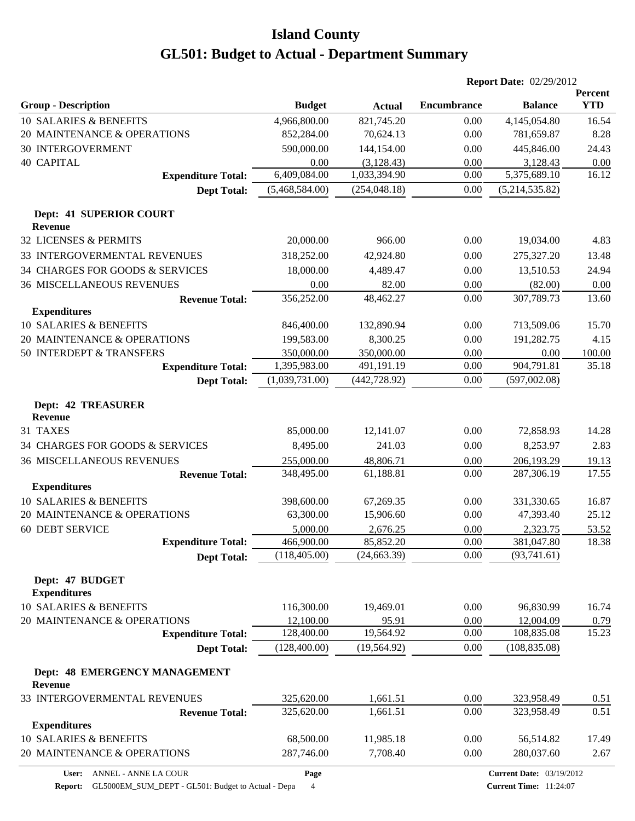|                                        |                      |                               | <b>Report Date: 02/29/2012</b> |                                |               |
|----------------------------------------|----------------------|-------------------------------|--------------------------------|--------------------------------|---------------|
|                                        |                      |                               |                                |                                | Percent       |
| <b>Group - Description</b>             | <b>Budget</b>        | <b>Actual</b>                 | <b>Encumbrance</b>             | <b>Balance</b>                 | <b>YTD</b>    |
| 10 SALARIES & BENEFITS                 | 4,966,800.00         | 821,745.20                    | 0.00                           | 4,145,054.80                   | 16.54         |
| 20 MAINTENANCE & OPERATIONS            | 852,284.00           | 70,624.13                     | 0.00                           | 781,659.87                     | 8.28          |
| <b>30 INTERGOVERMENT</b>               | 590,000.00           | 144,154.00                    | 0.00                           | 445,846.00                     | 24.43         |
| <b>40 CAPITAL</b>                      | 0.00<br>6,409,084.00 | (3, 128.43)                   | 0.00<br>0.00                   | 3,128.43                       | 0.00<br>16.12 |
| <b>Expenditure Total:</b>              | (5,468,584.00)       | 1,033,394.90<br>(254, 048.18) | $0.00\,$                       | 5,375,689.10<br>(5,214,535.82) |               |
| <b>Dept Total:</b>                     |                      |                               |                                |                                |               |
| Dept: 41 SUPERIOR COURT                |                      |                               |                                |                                |               |
| <b>Revenue</b>                         |                      |                               |                                |                                |               |
| 32 LICENSES & PERMITS                  | 20,000.00            | 966.00                        | 0.00                           | 19,034.00                      | 4.83          |
| 33 INTERGOVERMENTAL REVENUES           | 318,252.00           | 42,924.80                     | 0.00                           | 275,327.20                     | 13.48         |
| 34 CHARGES FOR GOODS & SERVICES        | 18,000.00            | 4,489.47                      | 0.00                           | 13,510.53                      | 24.94         |
| <b>36 MISCELLANEOUS REVENUES</b>       | 0.00                 | 82.00                         | 0.00                           | (82.00)                        | 0.00          |
| <b>Revenue Total:</b>                  | 356,252.00           | 48,462.27                     | 0.00                           | 307,789.73                     | 13.60         |
| <b>Expenditures</b>                    |                      |                               |                                |                                |               |
| 10 SALARIES & BENEFITS                 | 846,400.00           | 132,890.94                    | 0.00                           | 713,509.06                     | 15.70         |
| 20 MAINTENANCE & OPERATIONS            | 199,583.00           | 8,300.25                      | 0.00                           | 191,282.75                     | 4.15          |
| 50 INTERDEPT & TRANSFERS               | 350,000.00           | 350,000.00                    | $0.00\,$                       | 0.00                           | 100.00        |
| <b>Expenditure Total:</b>              | 1,395,983.00         | 491,191.19                    | 0.00                           | 904,791.81                     | 35.18         |
| <b>Dept Total:</b>                     | (1,039,731.00)       | (442, 728.92)                 | 0.00                           | (597,002.08)                   |               |
| <b>Dept: 42 TREASURER</b>              |                      |                               |                                |                                |               |
| <b>Revenue</b>                         |                      |                               |                                |                                |               |
| 31 TAXES                               | 85,000.00            | 12,141.07                     | 0.00                           | 72,858.93                      | 14.28         |
| 34 CHARGES FOR GOODS & SERVICES        | 8,495.00             | 241.03                        | 0.00                           | 8,253.97                       | 2.83          |
| <b>36 MISCELLANEOUS REVENUES</b>       | 255,000.00           | 48,806.71                     | 0.00                           | 206,193.29                     | 19.13         |
| <b>Revenue Total:</b>                  | 348,495.00           | 61,188.81                     | 0.00                           | 287,306.19                     | 17.55         |
| <b>Expenditures</b>                    |                      |                               |                                |                                |               |
| 10 SALARIES & BENEFITS                 | 398,600.00           | 67,269.35                     | 0.00                           | 331,330.65                     | 16.87         |
| 20 MAINTENANCE & OPERATIONS            | 63,300.00            | 15,906.60                     | 0.00                           | 47,393.40                      | 25.12         |
| <b>60 DEBT SERVICE</b>                 | 5,000.00             | 2,676.25                      | 0.00                           | 2,323.75                       | 53.52         |
| <b>Expenditure Total:</b>              | 466,900.00           | 85,852.20                     | 0.00                           | 381,047.80                     | 18.38         |
| <b>Dept Total:</b>                     | (118, 405.00)        | (24, 663.39)                  | 0.00                           | (93,741.61)                    |               |
| Dept: 47 BUDGET<br><b>Expenditures</b> |                      |                               |                                |                                |               |
| 10 SALARIES & BENEFITS                 | 116,300.00           | 19,469.01                     | 0.00                           | 96,830.99                      | 16.74         |
| 20 MAINTENANCE & OPERATIONS            | 12,100.00            | 95.91                         | 0.00                           | 12,004.09                      | 0.79          |
| <b>Expenditure Total:</b>              | 128,400.00           | 19,564.92                     | 0.00                           | 108,835.08                     | 15.23         |
| <b>Dept Total:</b>                     | (128, 400.00)        | (19, 564.92)                  | 0.00                           | (108, 835.08)                  |               |
| <b>Dept: 48 EMERGENCY MANAGEMENT</b>   |                      |                               |                                |                                |               |
| <b>Revenue</b>                         |                      |                               |                                |                                |               |
| 33 INTERGOVERMENTAL REVENUES           | 325,620.00           | 1,661.51                      | 0.00                           | 323,958.49                     | 0.51          |
| <b>Revenue Total:</b>                  | 325,620.00           | 1,661.51                      | 0.00                           | 323,958.49                     | 0.51          |
| <b>Expenditures</b>                    |                      |                               |                                |                                |               |
| 10 SALARIES & BENEFITS                 | 68,500.00            | 11,985.18                     | 0.00                           | 56,514.82                      | 17.49         |
| 20 MAINTENANCE & OPERATIONS            | 287,746.00           | 7,708.40                      | 0.00                           | 280,037.60                     | 2.67          |

**User:** ANNEL - ANNE LA COUR **Report:** GL5000EM\_SUM\_DEPT - GL501: Budget to Actual - Depa 4

**Page**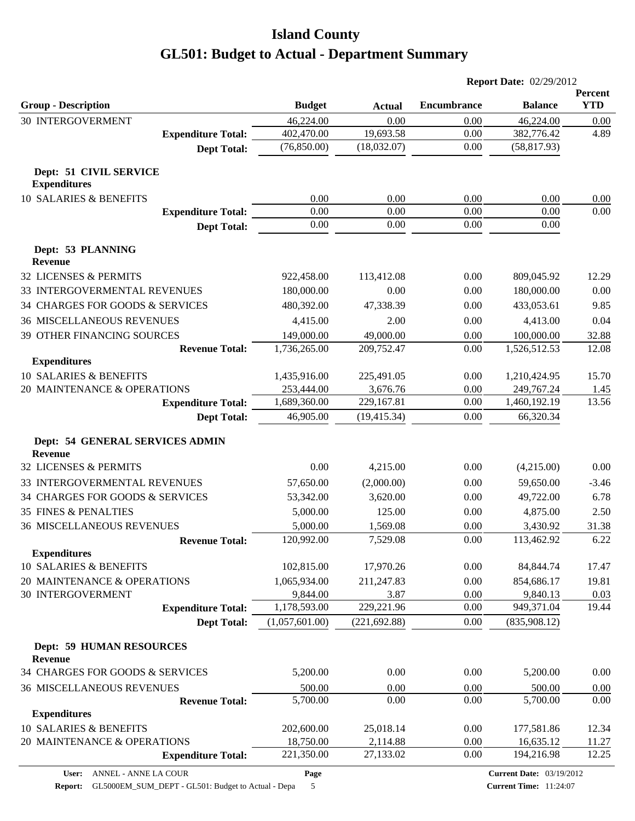|                                                           |                    |               | <b>Report Date: 02/29/2012</b> |                    |                       |
|-----------------------------------------------------------|--------------------|---------------|--------------------------------|--------------------|-----------------------|
| <b>Group - Description</b>                                | <b>Budget</b>      | <b>Actual</b> | <b>Encumbrance</b>             | <b>Balance</b>     | Percent<br><b>YTD</b> |
| <b>30 INTERGOVERMENT</b>                                  | 46,224.00          | 0.00          | 0.00                           | 46,224.00          | 0.00                  |
| <b>Expenditure Total:</b>                                 | 402,470.00         | 19,693.58     | 0.00                           | 382,776.42         | 4.89                  |
| <b>Dept Total:</b>                                        | (76,850.00)        | (18,032.07)   | 0.00                           | (58, 817.93)       |                       |
| Dept: 51 CIVIL SERVICE<br><b>Expenditures</b>             |                    |               |                                |                    |                       |
| 10 SALARIES & BENEFITS                                    | 0.00               | 0.00          | 0.00                           | 0.00               | 0.00                  |
| <b>Expenditure Total:</b>                                 | 0.00               | 0.00          | 0.00                           | 0.00               | 0.00                  |
| <b>Dept Total:</b>                                        | 0.00               | 0.00          | 0.00                           | 0.00               |                       |
| Dept: 53 PLANNING<br><b>Revenue</b>                       |                    |               |                                |                    |                       |
| 32 LICENSES & PERMITS                                     | 922,458.00         | 113,412.08    | 0.00                           | 809,045.92         | 12.29                 |
| 33 INTERGOVERMENTAL REVENUES                              | 180,000.00         | 0.00          | 0.00                           | 180,000.00         | 0.00                  |
| 34 CHARGES FOR GOODS & SERVICES                           | 480,392.00         | 47,338.39     | 0.00                           | 433,053.61         | 9.85                  |
| <b>36 MISCELLANEOUS REVENUES</b>                          | 4,415.00           | 2.00          | 0.00                           | 4,413.00           | 0.04                  |
| <b>39 OTHER FINANCING SOURCES</b>                         | 149,000.00         | 49,000.00     | 0.00                           | 100,000.00         | 32.88                 |
| <b>Revenue Total:</b>                                     | 1,736,265.00       | 209,752.47    | 0.00                           | 1,526,512.53       | 12.08                 |
| <b>Expenditures</b>                                       |                    |               |                                |                    |                       |
| 10 SALARIES & BENEFITS                                    | 1,435,916.00       | 225,491.05    | 0.00                           | 1,210,424.95       | 15.70                 |
| 20 MAINTENANCE & OPERATIONS                               | 253,444.00         | 3,676.76      | 0.00                           | 249,767.24         | 1.45                  |
| <b>Expenditure Total:</b>                                 | 1,689,360.00       | 229,167.81    | 0.00                           | 1,460,192.19       | 13.56                 |
| <b>Dept Total:</b>                                        | 46,905.00          | (19, 415.34)  | 0.00                           | 66,320.34          |                       |
| <b>Dept: 54 GENERAL SERVICES ADMIN</b><br>Revenue         |                    |               |                                |                    |                       |
| 32 LICENSES & PERMITS                                     | 0.00               | 4,215.00      | 0.00                           | (4,215.00)         | 0.00                  |
| 33 INTERGOVERMENTAL REVENUES                              | 57,650.00          | (2,000.00)    | 0.00                           | 59,650.00          | $-3.46$               |
| 34 CHARGES FOR GOODS & SERVICES                           | 53,342.00          | 3,620.00      | 0.00                           | 49,722.00          | 6.78                  |
| <b>35 FINES &amp; PENALTIES</b>                           | 5,000.00           | 125.00        | 0.00                           | 4,875.00           | 2.50                  |
| <b>36 MISCELLANEOUS REVENUES</b>                          | 5,000.00           | 1,569.08      | 0.00                           | 3,430.92           | 31.38                 |
| <b>Revenue Total:</b>                                     | 120,992.00         | 7,529.08      | 0.00                           | 113,462.92         | 6.22                  |
| <b>Expenditures</b>                                       |                    |               |                                |                    |                       |
| 10 SALARIES & BENEFITS                                    | 102,815.00         | 17,970.26     | 0.00                           | 84, 844. 74        | 17.47                 |
| 20 MAINTENANCE & OPERATIONS                               | 1,065,934.00       | 211,247.83    | 0.00                           | 854,686.17         | 19.81                 |
| 30 INTERGOVERMENT                                         | 9,844.00           | 3.87          | 0.00                           | 9,840.13           | 0.03                  |
| <b>Expenditure Total:</b>                                 | 1,178,593.00       | 229,221.96    | 0.00                           | 949,371.04         | 19.44                 |
| <b>Dept Total:</b>                                        | (1,057,601.00)     | (221, 692.88) | 0.00                           | (835,908.12)       |                       |
| <b>Dept: 59 HUMAN RESOURCES</b><br>Revenue                |                    |               |                                |                    |                       |
| 34 CHARGES FOR GOODS & SERVICES                           | 5,200.00           | 0.00          | 0.00                           | 5,200.00           | 0.00                  |
|                                                           |                    |               |                                |                    |                       |
| <b>36 MISCELLANEOUS REVENUES</b><br><b>Revenue Total:</b> | 500.00<br>5,700.00 | 0.00<br>0.00  | 0.00<br>0.00                   | 500.00<br>5,700.00 | 0.00<br>0.00          |
| <b>Expenditures</b>                                       |                    |               |                                |                    |                       |
| 10 SALARIES & BENEFITS                                    | 202,600.00         | 25,018.14     | 0.00                           | 177,581.86         | 12.34                 |
| 20 MAINTENANCE & OPERATIONS                               | 18,750.00          | 2,114.88      | 0.00                           | 16,635.12          | 11.27                 |
| <b>Expenditure Total:</b>                                 | 221,350.00         | 27,133.02     | 0.00                           | 194,216.98         | 12.25                 |
|                                                           |                    |               |                                |                    |                       |

**Page**

**Report:** GL5000EM\_SUM\_DEPT - GL501: Budget to Actual - Depa 5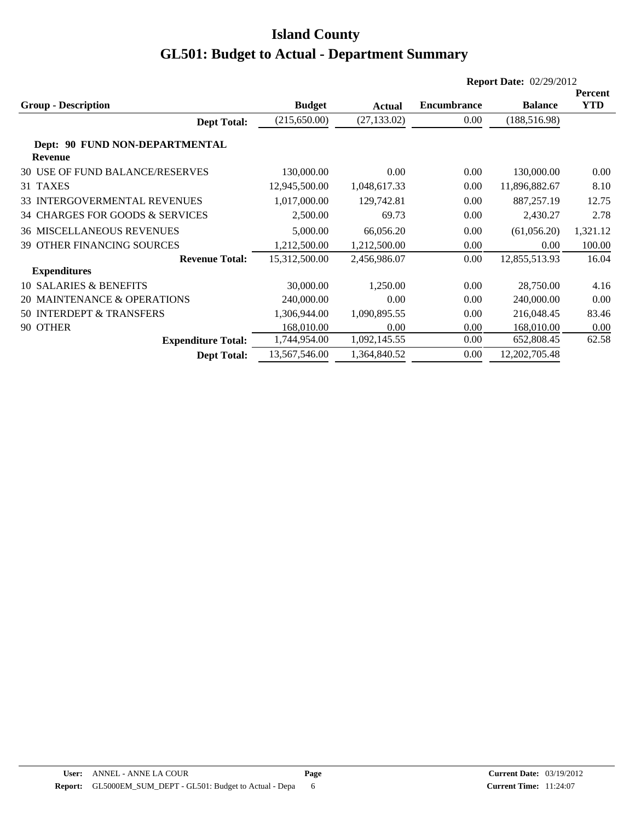|                                                  | <b>Report Date: 02/29/2012</b> |              |                    |                  |                       |  |
|--------------------------------------------------|--------------------------------|--------------|--------------------|------------------|-----------------------|--|
| <b>Group - Description</b>                       | <b>Budget</b>                  | Actual       | <b>Encumbrance</b> | <b>Balance</b>   | Percent<br><b>YTD</b> |  |
| <b>Dept Total:</b>                               | (215, 650.00)                  | (27, 133.02) | 0.00               | (188, 516.98)    |                       |  |
| Dept: 90 FUND NON-DEPARTMENTAL<br><b>Revenue</b> |                                |              |                    |                  |                       |  |
| 30 USE OF FUND BALANCE/RESERVES                  | 130,000.00                     | 0.00         | 0.00               | 130,000.00       | 0.00                  |  |
| 31 TAXES                                         | 12,945,500.00                  | 1,048,617.33 | 0.00               | 11,896,882.67    | 8.10                  |  |
| <b>33 INTERGOVERMENTAL REVENUES</b>              | 1,017,000.00                   | 129,742.81   | 0.00               | 887,257.19       | 12.75                 |  |
| 34 CHARGES FOR GOODS & SERVICES                  | 2,500.00                       | 69.73        | 0.00               | 2,430.27         | 2.78                  |  |
| <b>36 MISCELLANEOUS REVENUES</b>                 | 5,000.00                       | 66,056.20    | 0.00               | (61,056.20)      | 1,321.12              |  |
| <b>39 OTHER FINANCING SOURCES</b>                | 1,212,500.00                   | 1,212,500.00 | 0.00               | 0.00             | 100.00                |  |
| <b>Revenue Total:</b>                            | 15,312,500.00                  | 2,456,986.07 | 0.00               | 12,855,513.93    | 16.04                 |  |
| <b>Expenditures</b>                              |                                |              |                    |                  |                       |  |
| <b>10 SALARIES &amp; BENEFITS</b>                | 30,000.00                      | 1.250.00     | 0.00               | 28,750.00        | 4.16                  |  |
| 20 MAINTENANCE & OPERATIONS                      | 240,000.00                     | 0.00         | 0.00               | 240,000.00       | 0.00                  |  |
| 50 INTERDEPT & TRANSFERS                         | 1,306,944.00                   | 1,090,895.55 | 0.00               | 216,048.45       | 83.46                 |  |
| 90 OTHER                                         | 168,010.00                     | 0.00         | 0.00               | 168,010.00       | 0.00                  |  |
| <b>Expenditure Total:</b>                        | 1,744,954.00                   | 1,092,145.55 | 0.00               | 652,808.45       | 62.58                 |  |
| <b>Dept Total:</b>                               | 13,567,546.00                  | 1,364,840.52 | 0.00               | 12, 202, 705. 48 |                       |  |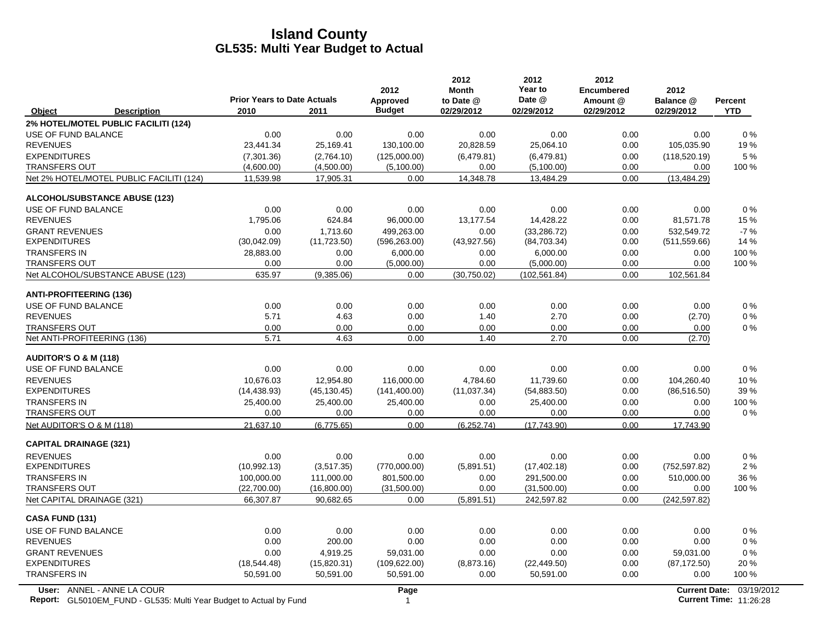|                                  |                                          |                                            |              | 2012                             | 2012<br><b>Month</b>    | 2012<br>Year to      | 2012<br>Encumbered     | 2012                    |                              |
|----------------------------------|------------------------------------------|--------------------------------------------|--------------|----------------------------------|-------------------------|----------------------|------------------------|-------------------------|------------------------------|
| Object                           | <b>Description</b>                       | <b>Prior Years to Date Actuals</b><br>2010 | 2011         | <b>Approved</b><br><b>Budget</b> | to Date @<br>02/29/2012 | Date @<br>02/29/2012 | Amount @<br>02/29/2012 | Balance @<br>02/29/2012 | <b>Percent</b><br><b>YTD</b> |
|                                  | 2% HOTEL/MOTEL PUBLIC FACILITI (124)     |                                            |              |                                  |                         |                      |                        |                         |                              |
| USE OF FUND BALANCE              |                                          | 0.00                                       | 0.00         | 0.00                             | 0.00                    | 0.00                 | 0.00                   | 0.00                    | $0\%$                        |
| <b>REVENUES</b>                  |                                          | 23,441.34                                  | 25,169.41    | 130,100.00                       | 20,828.59               | 25,064.10            | 0.00                   | 105,035.90              | 19%                          |
| <b>EXPENDITURES</b>              |                                          | (7,301.36)                                 | (2,764.10)   | (125,000.00)                     | (6,479.81)              | (6,479.81)           | 0.00                   | (118, 520.19)           | 5 %                          |
| <b>TRANSFERS OUT</b>             |                                          | (4,600.00)                                 | (4,500.00)   | (5,100.00)                       | 0.00                    | (5,100.00)           | 0.00                   | 0.00                    | 100 %                        |
|                                  | Net 2% HOTEL/MOTEL PUBLIC FACILITI (124) | 11,539.98                                  | 17,905.31    | 0.00                             | 14,348.78               | 13,484.29            | 0.00                   | (13, 484.29)            |                              |
|                                  | <b>ALCOHOL/SUBSTANCE ABUSE (123)</b>     |                                            |              |                                  |                         |                      |                        |                         |                              |
| <b>USE OF FUND BALANCE</b>       |                                          | 0.00                                       | 0.00         | 0.00                             | 0.00                    | 0.00                 | 0.00                   | 0.00                    | 0%                           |
| <b>REVENUES</b>                  |                                          | 1,795.06                                   | 624.84       | 96,000.00                        | 13,177.54               | 14,428.22            | 0.00                   | 81,571.78               | 15 %                         |
| <b>GRANT REVENUES</b>            |                                          | 0.00                                       | 1,713.60     | 499,263.00                       | 0.00                    | (33, 286.72)         | 0.00                   | 532,549.72              | $-7%$                        |
| <b>EXPENDITURES</b>              |                                          | (30,042.09)                                | (11, 723.50) | (596, 263.00)                    | (43,927.56)             | (84,703.34)          | 0.00                   | (511, 559.66)           | 14 %                         |
| <b>TRANSFERS IN</b>              |                                          | 28,883.00                                  | 0.00         | 6,000.00                         | 0.00                    | 6,000.00             | 0.00                   | 0.00                    | 100 %                        |
| <b>TRANSFERS OUT</b>             |                                          | 0.00                                       | 0.00         | (5,000.00)                       | 0.00                    | (5,000.00)           | 0.00                   | 0.00                    | 100 %                        |
|                                  | Net ALCOHOL/SUBSTANCE ABUSE (123)        | 635.97                                     | (9,385.06)   | 0.00                             | (30,750.02)             | (102, 561.84)        | 0.00                   | 102,561.84              |                              |
| <b>ANTI-PROFITEERING (136)</b>   |                                          |                                            |              |                                  |                         |                      |                        |                         |                              |
| USE OF FUND BALANCE              |                                          | 0.00                                       | 0.00         | 0.00                             | 0.00                    | 0.00                 | 0.00                   | 0.00                    | $0\%$                        |
| <b>REVENUES</b>                  |                                          | 5.71                                       | 4.63         | 0.00                             | 1.40                    | 2.70                 | 0.00                   | (2.70)                  | 0%                           |
| <b>TRANSFERS OUT</b>             |                                          | 0.00                                       | 0.00         | 0.00                             | 0.00                    | 0.00                 | 0.00                   | 0.00                    | $0\%$                        |
| Net ANTI-PROFITEERING (136)      |                                          | 5.71                                       | 4.63         | 0.00                             | 1.40                    | 2.70                 | 0.00                   | (2.70)                  |                              |
| <b>AUDITOR'S O &amp; M (118)</b> |                                          |                                            |              |                                  |                         |                      |                        |                         |                              |
| USE OF FUND BALANCE              |                                          | 0.00                                       | 0.00         | 0.00                             | 0.00                    | 0.00                 | 0.00                   | 0.00                    | $0\%$                        |
| <b>REVENUES</b>                  |                                          | 10,676.03                                  | 12,954.80    | 116,000.00                       | 4,784.60                | 11,739.60            | 0.00                   | 104,260.40              | 10 %                         |
| <b>EXPENDITURES</b>              |                                          | (14, 438.93)                               | (45, 130.45) | (141, 400.00)                    | (11, 037.34)            | (54,883.50)          | 0.00                   | (86, 516.50)            | 39%                          |
| <b>TRANSFERS IN</b>              |                                          | 25,400.00                                  | 25,400.00    | 25,400.00                        | 0.00                    | 25,400.00            | 0.00                   | 0.00                    | 100 %                        |
| <b>TRANSFERS OUT</b>             |                                          | 0.00                                       | 0.00         | 0.00                             | 0.00                    | 0.00                 | 0.00                   | 0.00                    | 0%                           |
| Net AUDITOR'S O & M (118)        |                                          | 21.637.10                                  | (6,775.65)   | 0.00                             | (6, 252.74)             | (17.743.90)          | 0.00                   | 17,743.90               |                              |
| <b>CAPITAL DRAINAGE (321)</b>    |                                          |                                            |              |                                  |                         |                      |                        |                         |                              |
| <b>REVENUES</b>                  |                                          | 0.00                                       | 0.00         | 0.00                             | 0.00                    | 0.00                 | 0.00                   | 0.00                    | $0\%$                        |
| <b>EXPENDITURES</b>              |                                          | (10,992.13)                                | (3,517.35)   | (770,000.00)                     | (5,891.51)              | (17, 402.18)         | 0.00                   | (752, 597.82)           | 2%                           |
| <b>TRANSFERS IN</b>              |                                          | 100.000.00                                 | 111.000.00   | 801.500.00                       | 0.00                    | 291.500.00           | 0.00                   | 510,000.00              | 36 %                         |
| <b>TRANSFERS OUT</b>             |                                          | (22,700.00)                                | (16,800.00)  | (31,500.00)                      | 0.00                    | (31,500.00)          | 0.00                   | 0.00                    | 100 %                        |
| Net CAPITAL DRAINAGE (321)       |                                          | 66,307.87                                  | 90,682.65    | 0.00                             | (5,891.51)              | 242,597.82           | 0.00                   | (242, 597.82)           |                              |
| CASA FUND (131)                  |                                          |                                            |              |                                  |                         |                      |                        |                         |                              |
| USE OF FUND BALANCE              |                                          | 0.00                                       | 0.00         | 0.00                             | 0.00                    | 0.00                 | 0.00                   | 0.00                    | $0\%$                        |
| <b>REVENUES</b>                  |                                          | 0.00                                       | 200.00       | 0.00                             | 0.00                    | 0.00                 | 0.00                   | 0.00                    | 0%                           |
| <b>GRANT REVENUES</b>            |                                          | 0.00                                       | 4,919.25     | 59,031.00                        | 0.00                    | 0.00                 | 0.00                   | 59,031.00               | $0\%$                        |
| <b>EXPENDITURES</b>              |                                          | (18, 544.48)                               | (15,820.31)  | (109, 622.00)                    | (8,873.16)              | (22, 449.50)         | 0.00                   | (87, 172.50)            | 20%                          |
| <b>TRANSFERS IN</b>              |                                          | 50,591.00                                  | 50,591.00    | 50,591.00                        | 0.00                    | 50,591.00            | 0.00                   | 0.00                    | 100 %                        |
|                                  | User: ANNEL - ANNE LA COUR               |                                            |              | Page                             |                         |                      |                        | <b>Current Date:</b>    | 03/19/2                      |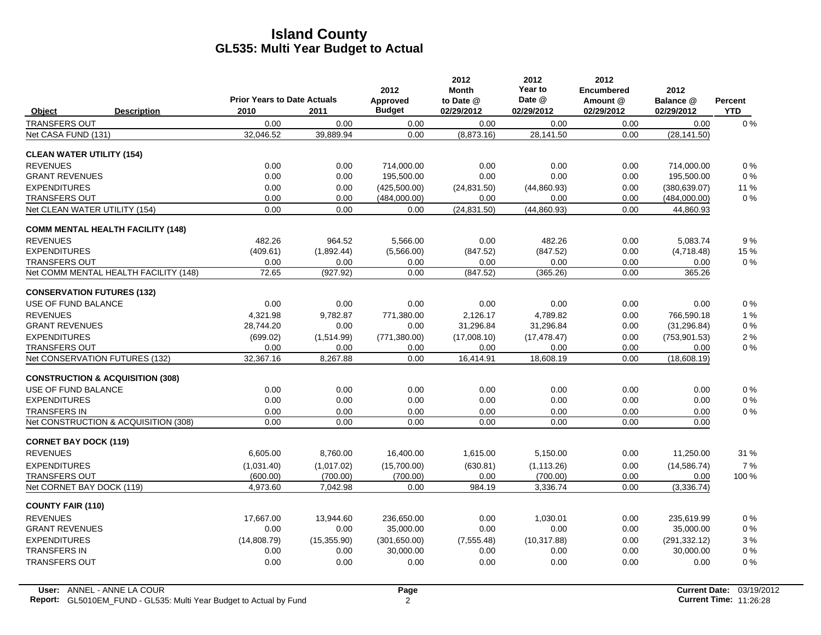|                                             |                                            |              | 2012                      | 2012<br><b>Month</b>    | 2012<br>Year to      | 2012<br><b>Encumbered</b> | 2012                     |                              |
|---------------------------------------------|--------------------------------------------|--------------|---------------------------|-------------------------|----------------------|---------------------------|--------------------------|------------------------------|
| <b>Description</b><br>Object                | <b>Prior Years to Date Actuals</b><br>2010 | 2011         | Approved<br><b>Budget</b> | to Date @<br>02/29/2012 | Date @<br>02/29/2012 | Amount @<br>02/29/2012    | Balance @<br>02/29/2012  | <b>Percent</b><br><b>YTD</b> |
| <b>TRANSFERS OUT</b>                        | 0.00                                       | 0.00         | 0.00                      | 0.00                    | 0.00                 | 0.00                      | 0.00                     | $0\%$                        |
| Net CASA FUND (131)                         | 32,046.52                                  | 39,889.94    | 0.00                      | (8,873.16)              | 28,141.50            | 0.00                      | (28, 141.50)             |                              |
|                                             |                                            |              |                           |                         |                      |                           |                          |                              |
| <b>CLEAN WATER UTILITY (154)</b>            |                                            |              |                           |                         |                      |                           |                          |                              |
| <b>REVENUES</b><br><b>GRANT REVENUES</b>    | 0.00<br>0.00                               | 0.00<br>0.00 | 714,000.00<br>195,500.00  | 0.00<br>0.00            | 0.00<br>0.00         | 0.00<br>0.00              | 714,000.00<br>195,500.00 | 0%<br>0%                     |
| <b>EXPENDITURES</b>                         | 0.00                                       | 0.00         | (425,500.00)              | (24, 831.50)            | (44,860.93)          | 0.00                      | (380, 639.07)            | 11 %                         |
| <b>TRANSFERS OUT</b>                        | 0.00                                       | 0.00         | (484,000.00)              | 0.00                    | 0.00                 | 0.00                      | (484,000.00)             | $0\%$                        |
| Net CLEAN WATER UTILITY (154)               | 0.00                                       | 0.00         | 0.00                      | (24, 831.50)            | (44, 860.93)         | 0.00                      | 44,860.93                |                              |
| <b>COMM MENTAL HEALTH FACILITY (148)</b>    |                                            |              |                           |                         |                      |                           |                          |                              |
| <b>REVENUES</b>                             | 482.26                                     | 964.52       | 5,566.00                  | 0.00                    | 482.26               | 0.00                      | 5,083.74                 | 9%                           |
| <b>EXPENDITURES</b>                         | (409.61)                                   | (1,892.44)   | (5,566.00)                | (847.52)                | (847.52)             | 0.00                      | (4,718.48)               | 15 %                         |
| <b>TRANSFERS OUT</b>                        | 0.00                                       | 0.00         | 0.00                      | 0.00                    | 0.00                 | 0.00                      | 0.00                     | $0\%$                        |
| Net COMM MENTAL HEALTH FACILITY (148)       | 72.65                                      | (927.92)     | 0.00                      | (847.52)                | (365.26)             | 0.00                      | 365.26                   |                              |
| <b>CONSERVATION FUTURES (132)</b>           |                                            |              |                           |                         |                      |                           |                          |                              |
| USE OF FUND BALANCE                         | 0.00                                       | 0.00         | 0.00                      | 0.00                    | 0.00                 | 0.00                      | 0.00                     | $0\%$                        |
| <b>REVENUES</b>                             | 4.321.98                                   | 9,782.87     | 771,380.00                | 2,126.17                | 4,789.82             | 0.00                      | 766,590.18               | 1%                           |
| <b>GRANT REVENUES</b>                       | 28,744.20                                  | 0.00         | 0.00                      | 31,296.84               | 31,296.84            | 0.00                      | (31, 296.84)             | 0%                           |
| <b>EXPENDITURES</b>                         | (699.02)                                   | (1,514.99)   | (771, 380.00)             | (17,008.10)             | (17, 478.47)         | 0.00                      | (753, 901.53)            | $2\%$                        |
| <b>TRANSFERS OUT</b>                        | 0.00                                       | 0.00         | 0.00                      | 0.00                    | 0.00                 | 0.00                      | 0.00                     | $0\%$                        |
| Net CONSERVATION FUTURES (132)              | 32,367.16                                  | 8,267.88     | 0.00                      | 16,414.91               | 18,608.19            | 0.00                      | (18,608.19)              |                              |
| <b>CONSTRUCTION &amp; ACQUISITION (308)</b> |                                            |              |                           |                         |                      |                           |                          |                              |
| USE OF FUND BALANCE                         | 0.00                                       | 0.00         | 0.00                      | 0.00                    | 0.00                 | 0.00                      | 0.00                     | 0%                           |
| <b>EXPENDITURES</b>                         | 0.00                                       | 0.00         | 0.00                      | 0.00                    | 0.00                 | 0.00                      | 0.00                     | $0\%$                        |
| <b>TRANSFERS IN</b>                         | 0.00                                       | 0.00         | 0.00                      | 0.00                    | 0.00                 | 0.00                      | 0.00                     | $0\%$                        |
| Net CONSTRUCTION & ACQUISITION (308)        | 0.00                                       | 0.00         | 0.00                      | 0.00                    | 0.00                 | 0.00                      | 0.00                     |                              |
| <b>CORNET BAY DOCK (119)</b>                |                                            |              |                           |                         |                      |                           |                          |                              |
| <b>REVENUES</b>                             | 6.605.00                                   | 8,760.00     | 16,400.00                 | 1.615.00                | 5.150.00             | 0.00                      | 11,250.00                | 31 %                         |
| <b>EXPENDITURES</b>                         | (1,031.40)                                 | (1,017.02)   | (15,700.00)               | (630.81)                | (1, 113.26)          | 0.00                      | (14, 586.74)             | 7%                           |
| <b>TRANSFERS OUT</b>                        | (600.00)                                   | (700.00)     | (700.00)                  | 0.00                    | (700.00)             | 0.00                      | 0.00                     | 100 %                        |
| Net CORNET BAY DOCK (119)                   | 4,973.60                                   | 7,042.98     | 0.00                      | 984.19                  | 3,336.74             | 0.00                      | (3,336.74)               |                              |
| <b>COUNTY FAIR (110)</b>                    |                                            |              |                           |                         |                      |                           |                          |                              |
| <b>REVENUES</b>                             | 17.667.00                                  | 13.944.60    | 236.650.00                | 0.00                    | 1.030.01             | 0.00                      | 235.619.99               | 0%                           |
| <b>GRANT REVENUES</b>                       | 0.00                                       | 0.00         | 35,000.00                 | 0.00                    | 0.00                 | 0.00                      | 35,000.00                | 0%                           |
| <b>EXPENDITURES</b>                         | (14,808.79)                                | (15, 355.90) | (301,650.00)              | (7, 555.48)             | (10, 317.88)         | 0.00                      | (291, 332.12)            | 3%                           |
| TRANSFERS IN                                | 0.00                                       | 0.00         | 30,000.00                 | 0.00                    | 0.00                 | 0.00                      | 30,000.00                | $0\%$                        |
| <b>TRANSFERS OUT</b>                        | 0.00                                       | 0.00         | 0.00                      | 0.00                    | 0.00                 | 0.00                      | 0.00                     | $0\%$                        |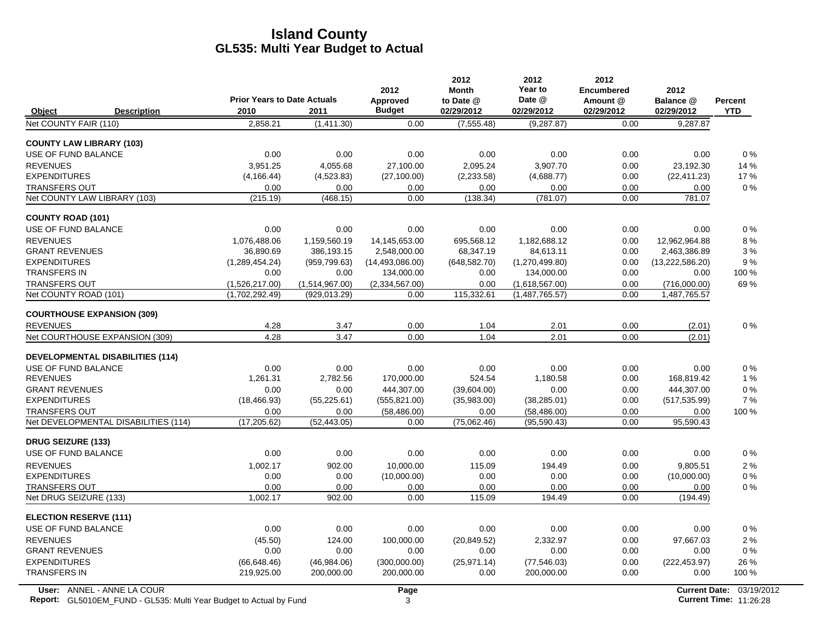|                                            |                                    |                       | 2012                             | 2012<br><b>Month</b>  | 2012<br>Year to              | 2012<br><b>Encumbered</b> | 2012                    |             |
|--------------------------------------------|------------------------------------|-----------------------|----------------------------------|-----------------------|------------------------------|---------------------------|-------------------------|-------------|
|                                            | <b>Prior Years to Date Actuals</b> |                       | Approved                         | to Date @             | Date @                       | Amount @                  | Balance @               | Percent     |
| Object<br><b>Description</b>               | 2010                               | 2011                  | <b>Budget</b>                    | 02/29/2012            | 02/29/2012                   | 02/29/2012                | 02/29/2012              | <b>YTD</b>  |
| Net COUNTY FAIR (110)                      | 2,858.21                           | (1,411.30)            | 0.00                             | (7, 555.48)           | (9, 287.87)                  | 0.00                      | 9,287.87                |             |
| <b>COUNTY LAW LIBRARY (103)</b>            |                                    |                       |                                  |                       |                              |                           |                         |             |
| USE OF FUND BALANCE                        | 0.00                               | 0.00                  | 0.00                             | 0.00                  | 0.00                         | 0.00                      | 0.00                    | $0\%$       |
| <b>REVENUES</b>                            | 3,951.25                           | 4,055.68              | 27,100.00                        | 2,095.24              | 3,907.70                     | 0.00                      | 23,192.30               | 14 %        |
| <b>EXPENDITURES</b>                        | (4, 166.44)                        | (4,523.83)            | (27, 100.00)                     | (2,233.58)            | (4,688.77)                   | 0.00                      | (22, 411.23)            | 17 %        |
| <b>TRANSFERS OUT</b>                       | 0.00                               | 0.00                  | 0.00                             | 0.00                  | 0.00                         | 0.00                      | 0.00                    | 0%          |
| Net COUNTY LAW LIBRARY (103)               | (215.19)                           | (468.15)              | 0.00                             | (138.34)              | (781.07)                     | 0.00                      | 781.07                  |             |
| <b>COUNTY ROAD (101)</b>                   |                                    |                       |                                  |                       |                              |                           |                         |             |
| USE OF FUND BALANCE                        | 0.00                               | 0.00                  | 0.00                             | 0.00                  | 0.00                         | 0.00                      | 0.00                    | $0\%$       |
| <b>REVENUES</b>                            | 1,076,488.06                       | 1,159,560.19          | 14,145,653.00                    | 695,568.12            | 1,182,688.12                 | 0.00                      | 12,962,964.88           | 8%          |
| <b>GRANT REVENUES</b>                      | 36,890.69                          | 386,193.15            | 2,548,000.00                     | 68,347.19             | 84,613.11                    | 0.00                      | 2,463,386.89            | 3%          |
| <b>EXPENDITURES</b><br><b>TRANSFERS IN</b> | (1,289,454.24)<br>0.00             | (959, 799.63)<br>0.00 | (14, 493, 086, 00)<br>134,000.00 | (648, 582.70)<br>0.00 | (1,270,499.80)<br>134,000.00 | 0.00<br>0.00              | (13,222,586.20)<br>0.00 | 9%<br>100 % |
| <b>TRANSFERS OUT</b>                       | (1,526,217.00)                     | (1,514,967.00)        | (2,334,567.00)                   | 0.00                  | (1,618,567.00)               | 0.00                      | (716,000.00)            | 69%         |
| Net COUNTY ROAD (101)                      | (1,702,292.49)                     | (929, 013.29)         | 0.00                             | 115,332.61            | (1,487,765.57)               | 0.00                      | 1,487,765.57            |             |
|                                            |                                    |                       |                                  |                       |                              |                           |                         |             |
| <b>COURTHOUSE EXPANSION (309)</b>          |                                    |                       |                                  |                       |                              |                           |                         |             |
| <b>REVENUES</b>                            | 4.28                               | 3.47                  | 0.00                             | 1.04                  | 2.01                         | 0.00                      | (2.01)                  | 0%          |
| Net COURTHOUSE EXPANSION (309)             | 4.28                               | 3.47                  | 0.00                             | 1.04                  | 2.01                         | 0.00                      | (2.01)                  |             |
| <b>DEVELOPMENTAL DISABILITIES (114)</b>    |                                    |                       |                                  |                       |                              |                           |                         |             |
| USE OF FUND BALANCE                        | 0.00                               | 0.00                  | 0.00                             | 0.00                  | 0.00                         | 0.00                      | 0.00                    | 0%          |
| <b>REVENUES</b>                            | 1,261.31                           | 2,782.56              | 170,000.00                       | 524.54                | 1,180.58                     | 0.00                      | 168,819.42              | 1%          |
| <b>GRANT REVENUES</b>                      | 0.00                               | 0.00                  | 444,307.00                       | (39,604.00)           | 0.00                         | 0.00                      | 444,307.00              | 0%          |
| <b>EXPENDITURES</b>                        | (18, 466.93)                       | (55, 225.61)          | (555, 821.00)                    | (35,983.00)           | (38, 285.01)                 | 0.00                      | (517, 535.99)           | 7%          |
| <b>TRANSFERS OUT</b>                       | 0.00                               | 0.00                  | (58, 486.00)                     | 0.00                  | (58, 486.00)                 | 0.00                      | 0.00                    | 100 %       |
| Net DEVELOPMENTAL DISABILITIES (114)       | (17, 205.62)                       | (52, 443.05)          | 0.00                             | (75,062.46)           | (95,590.43)                  | 0.00                      | 95,590.43               |             |
| <b>DRUG SEIZURE (133)</b>                  |                                    |                       |                                  |                       |                              |                           |                         |             |
| USE OF FUND BALANCE                        | 0.00                               | 0.00                  | 0.00                             | 0.00                  | 0.00                         | 0.00                      | 0.00                    | 0%          |
| <b>REVENUES</b>                            | 1,002.17                           | 902.00                | 10,000.00                        | 115.09                | 194.49                       | 0.00                      | 9,805.51                | 2%          |
| <b>EXPENDITURES</b>                        | 0.00                               | 0.00                  | (10,000.00)                      | 0.00                  | 0.00                         | 0.00                      | (10,000.00)             | $0\%$       |
| <b>TRANSFERS OUT</b>                       | 0.00                               | 0.00                  | 0.00                             | 0.00                  | 0.00                         | 0.00                      | 0.00                    | $0\%$       |
| Net DRUG SEIZURE (133)                     | 1,002.17                           | 902.00                | 0.00                             | 115.09                | 194.49                       | 0.00                      | (194.49)                |             |
| <b>ELECTION RESERVE (111)</b>              |                                    |                       |                                  |                       |                              |                           |                         |             |
| USE OF FUND BALANCE                        | 0.00                               | 0.00                  | 0.00                             | 0.00                  | 0.00                         | 0.00                      | 0.00                    | $0\%$       |
| <b>REVENUES</b>                            | (45.50)                            | 124.00                | 100,000.00                       | (20, 849.52)          | 2,332.97                     | 0.00                      | 97,667.03               | 2%          |
| <b>GRANT REVENUES</b>                      | 0.00                               | 0.00                  | 0.00                             | 0.00                  | 0.00                         | 0.00                      | 0.00                    | $0\%$       |
| <b>EXPENDITURES</b>                        | (66, 648.46)                       | (46,984.06)           | (300,000.00)                     | (25, 971.14)          | (77, 546.03)                 | 0.00                      | (222, 453.97)           | 26 %        |
| <b>TRANSFERS IN</b>                        | 219,925.00                         | 200,000.00            | 200,000.00                       | 0.00                  | 200,000.00                   | 0.00                      | 0.00                    | 100 %       |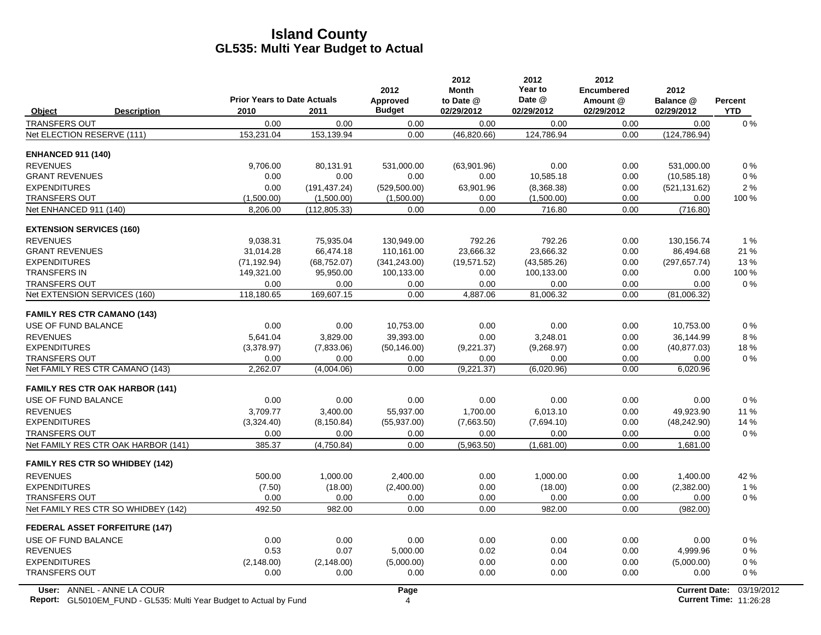|                                    |                                        | <b>Prior Years to Date Actuals</b> |               | 2012<br>Approved | 2012<br><b>Month</b><br>to Date @ | 2012<br>Year to<br>Date @ | 2012<br><b>Encumbered</b><br>Amount @ | 2012<br>Balance @    | <b>Percent</b> |
|------------------------------------|----------------------------------------|------------------------------------|---------------|------------------|-----------------------------------|---------------------------|---------------------------------------|----------------------|----------------|
| Object                             | <b>Description</b>                     | 2010                               | 2011          | <b>Budget</b>    | 02/29/2012                        | 02/29/2012                | 02/29/2012                            | 02/29/2012           | <b>YTD</b>     |
| <b>TRANSFERS OUT</b>               |                                        | 0.00                               | 0.00          | 0.00             | 0.00                              | 0.00                      | 0.00                                  | 0.00                 | 0%             |
| Net ELECTION RESERVE (111)         |                                        | 153,231.04                         | 153,139.94    | 0.00             | (46, 820.66)                      | 124,786.94                | 0.00                                  | (124, 786.94)        |                |
| <b>ENHANCED 911 (140)</b>          |                                        |                                    |               |                  |                                   |                           |                                       |                      |                |
| <b>REVENUES</b>                    |                                        | 9.706.00                           | 80,131.91     | 531,000.00       | (63,901.96)                       | 0.00                      | 0.00                                  | 531.000.00           | $0\%$          |
| <b>GRANT REVENUES</b>              |                                        | 0.00                               | 0.00          | 0.00             | 0.00                              | 10,585.18                 | 0.00                                  | (10, 585.18)         | $0\%$          |
| <b>EXPENDITURES</b>                |                                        | 0.00                               | (191, 437.24) | (529, 500.00)    | 63,901.96                         | (8,368.38)                | 0.00                                  | (521, 131.62)        | 2%             |
| <b>TRANSFERS OUT</b>               |                                        | (1,500.00)                         | (1,500.00)    | (1,500.00)       | 0.00                              | (1,500.00)                | 0.00                                  | 0.00                 | $100\%$        |
| Net ENHANCED 911 (140)             |                                        | 8,206.00                           | (112, 805.33) | 0.00             | 0.00                              | 716.80                    | 0.00                                  | (716.80)             |                |
| <b>EXTENSION SERVICES (160)</b>    |                                        |                                    |               |                  |                                   |                           |                                       |                      |                |
| <b>REVENUES</b>                    |                                        | 9,038.31                           | 75,935.04     | 130,949.00       | 792.26                            | 792.26                    | 0.00                                  | 130,156.74           | 1%             |
| <b>GRANT REVENUES</b>              |                                        | 31,014.28                          | 66,474.18     | 110,161.00       | 23,666.32                         | 23,666.32                 | 0.00                                  | 86,494.68            | 21 %           |
| <b>EXPENDITURES</b>                |                                        | (71, 192.94)                       | (68, 752.07)  | (341, 243.00)    | (19.571.52)                       | (43,585.26)               | 0.00                                  | (297, 657.74)        | 13%            |
| <b>TRANSFERS IN</b>                |                                        | 149,321.00                         | 95,950.00     | 100,133.00       | 0.00                              | 100,133.00                | 0.00                                  | 0.00                 | 100 %          |
| <b>TRANSFERS OUT</b>               |                                        | 0.00                               | 0.00          | 0.00             | 0.00                              | 0.00                      | 0.00                                  | 0.00                 | $0\%$          |
| Net EXTENSION SERVICES (160)       |                                        | 118,180.65                         | 169,607.15    | 0.00             | 4,887.06                          | 81,006.32                 | 0.00                                  | (81,006.32)          |                |
| <b>FAMILY RES CTR CAMANO (143)</b> |                                        |                                    |               |                  |                                   |                           |                                       |                      |                |
| USE OF FUND BALANCE                |                                        | 0.00                               | 0.00          | 10,753.00        | 0.00                              | 0.00                      | 0.00                                  | 10,753.00            | $0\%$          |
| <b>REVENUES</b>                    |                                        | 5,641.04                           | 3,829.00      | 39,393.00        | 0.00                              | 3,248.01                  | 0.00                                  | 36,144.99            | 8%             |
| <b>EXPENDITURES</b>                |                                        | (3,378.97)                         | (7,833.06)    | (50, 146.00)     | (9,221.37)                        | (9,268.97)                | 0.00                                  | (40, 877.03)         | 18%            |
| <b>TRANSFERS OUT</b>               |                                        | 0.00                               | 0.00          | 0.00             | 0.00                              | 0.00                      | 0.00                                  | 0.00                 | $0\%$          |
|                                    | Net FAMILY RES CTR CAMANO (143)        | 2,262.07                           | (4,004.06)    | 0.00             | (9,221.37)                        | (6,020.96)                | 0.00                                  | 6,020.96             |                |
|                                    | <b>FAMILY RES CTR OAK HARBOR (141)</b> |                                    |               |                  |                                   |                           |                                       |                      |                |
| USE OF FUND BALANCE                |                                        | 0.00                               | 0.00          | 0.00             | 0.00                              | 0.00                      | 0.00                                  | 0.00                 | $0\%$          |
| <b>REVENUES</b>                    |                                        | 3.709.77                           | 3.400.00      | 55.937.00        | 1.700.00                          | 6.013.10                  | 0.00                                  | 49.923.90            | 11 %           |
| <b>EXPENDITURES</b>                |                                        | (3,324.40)                         | (8, 150.84)   | (55, 937.00)     | (7,663.50)                        | (7,694.10)                | 0.00                                  | (48, 242.90)         | 14 %           |
| <b>TRANSFERS OUT</b>               |                                        | 0.00                               | 0.00          | 0.00             | 0.00                              | 0.00                      | 0.00                                  | 0.00                 | $0\%$          |
|                                    | Net FAMILY RES CTR OAK HARBOR (141)    | 385.37                             | (4,750.84)    | 0.00             | (5,963.50)                        | (1,681.00)                | 0.00                                  | 1,681.00             |                |
|                                    | <b>FAMILY RES CTR SO WHIDBEY (142)</b> |                                    |               |                  |                                   |                           |                                       |                      |                |
| <b>REVENUES</b>                    |                                        | 500.00                             | 1,000.00      | 2,400.00         | 0.00                              | 1,000.00                  | 0.00                                  | 1,400.00             | 42 %           |
| <b>EXPENDITURES</b>                |                                        | (7.50)                             | (18.00)       | (2,400.00)       | 0.00                              | (18.00)                   | 0.00                                  | (2,382.00)           | 1%             |
| <b>TRANSFERS OUT</b>               |                                        | 0.00                               | 0.00          | 0.00             | 0.00                              | 0.00                      | 0.00                                  | 0.00                 | $0\%$          |
|                                    | Net FAMILY RES CTR SO WHIDBEY (142)    | 492.50                             | 982.00        | 0.00             | 0.00                              | 982.00                    | 0.00                                  | (982.00)             |                |
|                                    | <b>FEDERAL ASSET FORFEITURE (147)</b>  |                                    |               |                  |                                   |                           |                                       |                      |                |
| USE OF FUND BALANCE                |                                        | 0.00                               | 0.00          | 0.00             | 0.00                              | 0.00                      | 0.00                                  | 0.00                 | $0\%$          |
| <b>REVENUES</b>                    |                                        | 0.53                               | 0.07          | 5,000.00         | 0.02                              | 0.04                      | 0.00                                  | 4,999.96             | $0\%$          |
| <b>EXPENDITURES</b>                |                                        | (2, 148.00)                        | (2, 148.00)   | (5,000.00)       | 0.00                              | 0.00                      | 0.00                                  | (5,000.00)           | $0\%$          |
| <b>TRANSFERS OUT</b>               |                                        | 0.00                               | 0.00          | 0.00             | 0.00                              | 0.00                      | 0.00                                  | 0.00                 | $0\%$          |
|                                    | User: ANNEL - ANNE LA COUR             |                                    |               | Page             |                                   |                           |                                       | <b>Current Date:</b> | 03/19/2        |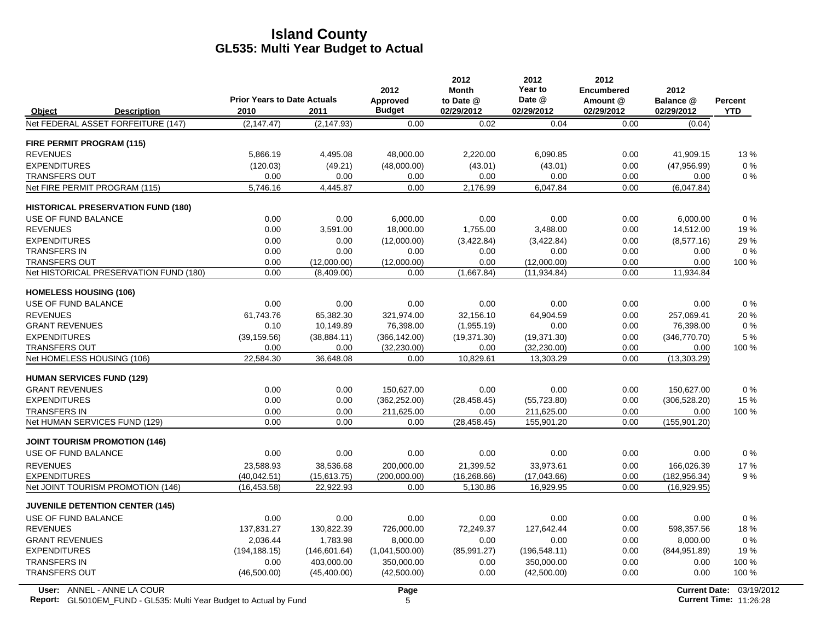|                                                                                                                                                                                                    | <b>Percent</b> |
|----------------------------------------------------------------------------------------------------------------------------------------------------------------------------------------------------|----------------|
| <b>Prior Years to Date Actuals</b><br>Date @<br>Amount @<br>Approved<br>to Date @<br>Balance @<br><b>Budget</b><br>2010<br>2011                                                                    | <b>YTD</b>     |
| 02/29/2012<br>02/29/2012<br>02/29/2012<br>02/29/2012<br>Object<br><b>Description</b><br>Net FEDERAL ASSET FORFEITURE (147)<br>(2, 147.47)<br>(2, 147.93)<br>0.00<br>0.02<br>0.04<br>0.00<br>(0.04) |                |
|                                                                                                                                                                                                    |                |
| FIRE PERMIT PROGRAM (115)                                                                                                                                                                          |                |
| <b>REVENUES</b><br>5.866.19<br>4.495.08<br>2.220.00<br>6,090.85<br>0.00<br>48.000.00<br>41.909.15                                                                                                  | 13%            |
| <b>EXPENDITURES</b><br>(120.03)<br>(49.21)<br>(48,000.00)<br>(43.01)<br>(43.01)<br>0.00<br>(47,956.99)                                                                                             | 0%             |
| 0.00<br>0.00<br><b>TRANSFERS OUT</b><br>0.00<br>0.00<br>0.00<br>0.00<br>0.00                                                                                                                       | $0\%$          |
| Net FIRE PERMIT PROGRAM (115)<br>5,746.16<br>4,445.87<br>0.00<br>2,176.99<br>6,047.84<br>0.00<br>(6,047.84)                                                                                        |                |
| <b>HISTORICAL PRESERVATION FUND (180)</b>                                                                                                                                                          |                |
| USE OF FUND BALANCE<br>0.00<br>0.00<br>6.000.00<br>0.00<br>0.00<br>0.00<br>6,000.00                                                                                                                | 0%             |
| <b>REVENUES</b><br>0.00<br>0.00<br>3,591.00<br>18,000.00<br>1,755.00<br>3,488.00<br>14,512.00                                                                                                      | 19%            |
| <b>EXPENDITURES</b><br>0.00<br>(12,000.00)<br>(3,422.84)<br>(3,422.84)<br>0.00<br>(8,577.16)<br>0.00                                                                                               | 29 %           |
| <b>TRANSFERS IN</b><br>0.00<br>0.00<br>0.00<br>0.00<br>0.00<br>0.00<br>0.00                                                                                                                        | $0\%$          |
| <b>TRANSFERS OUT</b><br>0.00<br>(12,000.00)<br>(12,000.00)<br>0.00<br>(12,000.00)<br>0.00<br>0.00                                                                                                  | 100 %          |
| Net HISTORICAL PRESERVATION FUND (180)<br>0.00<br>(8,409.00)<br>0.00<br>(1,667.84)<br>(11, 934.84)<br>0.00<br>11,934.84                                                                            |                |
| <b>HOMELESS HOUSING (106)</b>                                                                                                                                                                      |                |
| USE OF FUND BALANCE<br>0.00<br>0.00<br>0.00<br>0.00<br>0.00<br>0.00<br>0.00                                                                                                                        | $0\%$          |
| <b>REVENUES</b><br>65,382.30<br>321,974.00<br>32,156.10<br>257,069.41<br>61,743.76<br>64,904.59<br>0.00                                                                                            | 20%            |
| <b>GRANT REVENUES</b><br>0.10<br>0.00<br>0.00<br>76,398.00<br>10,149.89<br>76,398.00<br>(1,955.19)                                                                                                 | 0%             |
| <b>EXPENDITURES</b><br>(39, 159.56)<br>(38, 884.11)<br>(366, 142.00)<br>(19, 371.30)<br>(19, 371.30)<br>0.00<br>(346,770.70)                                                                       | 5 %            |
| <b>TRANSFERS OUT</b><br>0.00<br>0.00<br>(32, 230.00)<br>0.00<br>(32, 230.00)<br>0.00<br>0.00                                                                                                       | 100 %          |
| 22,584.30<br>10,829.61<br>Net HOMELESS HOUSING (106)<br>36,648.08<br>0.00<br>13,303.29<br>0.00<br>(13,303.29)                                                                                      |                |
| <b>HUMAN SERVICES FUND (129)</b>                                                                                                                                                                   |                |
| <b>GRANT REVENUES</b><br>150,627.00<br>0.00<br>0.00<br>0.00<br>0.00<br>0.00<br>150,627.00                                                                                                          | $0\%$          |
| <b>EXPENDITURES</b><br>0.00<br>0.00<br>(28, 458, 45)<br>0.00<br>(362, 252.00)<br>(55, 723.80)<br>(306, 528.20)                                                                                     | 15 %           |
| <b>TRANSFERS IN</b><br>0.00<br>0.00<br>211,625.00<br>211,625.00<br>0.00<br>0.00<br>0.00                                                                                                            | 100 %          |
| Net HUMAN SERVICES FUND (129)<br>0.00<br>(28, 458.45)<br>0.00<br>0.00<br>155,901.20<br>0.00<br>(155, 901.20)                                                                                       |                |
| <b>JOINT TOURISM PROMOTION (146)</b>                                                                                                                                                               |                |
| 0.00<br>0.00<br>0.00<br>0.00<br>USE OF FUND BALANCE<br>0.00<br>0.00<br>0.00                                                                                                                        | 0%             |
| <b>REVENUES</b><br>23.588.93<br>38,536.68<br>200,000.00<br>21.399.52<br>33,973.61<br>0.00<br>166,026.39                                                                                            | 17%            |
| <b>EXPENDITURES</b><br>(40,042.51)<br>(16, 268.66)<br>0.00<br>(15,613.75)<br>(200,000.00)<br>(17,043.66)<br>(182, 956.34)                                                                          | 9%             |
| Net JOINT TOURISM PROMOTION (146)<br>(16, 453.58)<br>22,922.93<br>0.00<br>5,130.86<br>16,929.95<br>0.00<br>(16,929.95)                                                                             |                |
| <b>JUVENILE DETENTION CENTER (145)</b>                                                                                                                                                             |                |
| USE OF FUND BALANCE<br>0.00<br>0.00<br>0.00<br>0.00<br>0.00<br>0.00<br>0.00                                                                                                                        | 0%             |
| <b>REVENUES</b><br>137,831.27<br>130,822.39<br>0.00<br>598,357.56<br>726,000.00<br>72.249.37<br>127.642.44                                                                                         | 18%            |
| <b>GRANT REVENUES</b><br>2,036.44<br>1,783.98<br>8,000.00<br>0.00<br>0.00<br>0.00<br>8,000.00                                                                                                      | 0%             |
| <b>EXPENDITURES</b><br>(85,991.27)<br>0.00<br>(194, 188.15)<br>(146, 601.64)<br>(1,041,500.00)<br>(196, 548.11)<br>(844, 951.89)                                                                   | 19%            |
| <b>TRANSFERS IN</b><br>403,000.00<br>350,000.00<br>350,000.00<br>0.00<br>0.00<br>0.00<br>0.00                                                                                                      | 100 %          |
| <b>TRANSFERS OUT</b><br>(46,500.00)<br>(45,400.00)<br>(42,500.00)<br>0.00<br>(42,500.00)<br>0.00<br>0.00                                                                                           | 100 %          |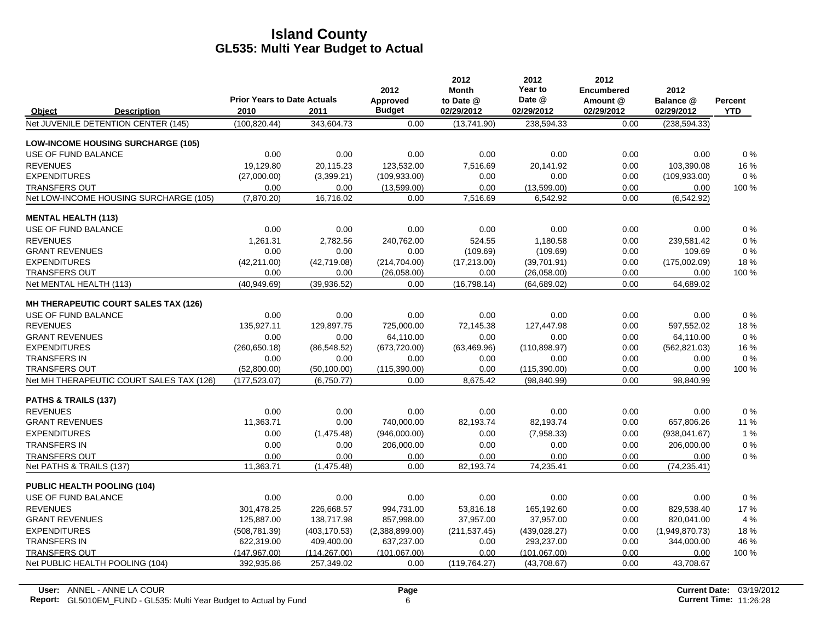|                                    |                                           |                                            |               | 2012                      | 2012<br><b>Month</b>    | 2012<br>Year to      | 2012<br><b>Encumbered</b> | 2012                    |                              |
|------------------------------------|-------------------------------------------|--------------------------------------------|---------------|---------------------------|-------------------------|----------------------|---------------------------|-------------------------|------------------------------|
| Object                             | <b>Description</b>                        | <b>Prior Years to Date Actuals</b><br>2010 | 2011          | Approved<br><b>Budget</b> | to Date @<br>02/29/2012 | Date @<br>02/29/2012 | Amount @<br>02/29/2012    | Balance @<br>02/29/2012 | <b>Percent</b><br><b>YTD</b> |
|                                    | Net JUVENILE DETENTION CENTER (145)       | (100, 820.44)                              | 343,604.73    | 0.00                      | (13,741.90)             | 238,594.33           | 0.00                      | (238, 594.33)           |                              |
|                                    | <b>LOW-INCOME HOUSING SURCHARGE (105)</b> |                                            |               |                           |                         |                      |                           |                         |                              |
| USE OF FUND BALANCE                |                                           | 0.00                                       | 0.00          | 0.00                      | 0.00                    | 0.00                 | 0.00                      | 0.00                    | 0%                           |
| <b>REVENUES</b>                    |                                           | 19,129.80                                  | 20,115.23     | 123.532.00                | 7.516.69                | 20.141.92            | 0.00                      | 103,390.08              | 16 %                         |
| <b>EXPENDITURES</b>                |                                           | (27,000.00)                                | (3,399.21)    | (109, 933.00)             | 0.00                    | 0.00                 | 0.00                      | (109, 933.00)           | $0\%$                        |
| <b>TRANSFERS OUT</b>               |                                           | 0.00                                       | 0.00          | (13,599.00)               | 0.00                    | (13,599.00)          | 0.00                      | 0.00                    | 100 %                        |
|                                    | Net LOW-INCOME HOUSING SURCHARGE (105)    | (7,870.20)                                 | 16,716.02     | 0.00                      | 7,516.69                | 6,542.92             | 0.00                      | (6, 542.92)             |                              |
| <b>MENTAL HEALTH (113)</b>         |                                           |                                            |               |                           |                         |                      |                           |                         |                              |
| USE OF FUND BALANCE                |                                           | 0.00                                       | 0.00          | 0.00                      | 0.00                    | 0.00                 | 0.00                      | 0.00                    | 0%                           |
| <b>REVENUES</b>                    |                                           | 1.261.31                                   | 2,782.56      | 240.762.00                | 524.55                  | 1.180.58             | 0.00                      | 239,581.42              | 0%                           |
| <b>GRANT REVENUES</b>              |                                           | 0.00                                       | 0.00          | 0.00                      | (109.69)                | (109.69)             | 0.00                      | 109.69                  | $0\%$                        |
| <b>EXPENDITURES</b>                |                                           | (42, 211.00)                               | (42,719.08)   | (214, 704.00)             | (17, 213.00)            | (39,701.91)          | 0.00                      | (175,002.09)            | 18%                          |
| <b>TRANSFERS OUT</b>               |                                           | 0.00                                       | 0.00          | (26,058.00)               | 0.00                    | (26,058.00)          | 0.00                      | 0.00                    | 100 %                        |
| Net MENTAL HEALTH (113)            |                                           | (40,949.69)                                | (39,936.52)   | 0.00                      | (16, 798.14)            | (64, 689.02)         | 0.00                      | 64,689.02               |                              |
|                                    | MH THERAPEUTIC COURT SALES TAX (126)      |                                            |               |                           |                         |                      |                           |                         |                              |
| USE OF FUND BALANCE                |                                           | 0.00                                       | 0.00          | 0.00                      | 0.00                    | 0.00                 | 0.00                      | 0.00                    | 0%                           |
| <b>REVENUES</b>                    |                                           | 135,927.11                                 | 129,897.75    | 725,000.00                | 72,145.38               | 127,447.98           | 0.00                      | 597,552.02              | 18%                          |
| <b>GRANT REVENUES</b>              |                                           | 0.00                                       | 0.00          | 64,110.00                 | 0.00                    | 0.00                 | 0.00                      | 64,110.00               | 0%                           |
| <b>EXPENDITURES</b>                |                                           | (260, 650.18)                              | (86, 548.52)  | (673, 720.00)             | (63, 469.96)            | (110, 898.97)        | 0.00                      | (562, 821.03)           | 16 %                         |
| <b>TRANSFERS IN</b>                |                                           | 0.00                                       | 0.00          | 0.00                      | 0.00                    | 0.00                 | 0.00                      | 0.00                    | 0%                           |
| <b>TRANSFERS OUT</b>               |                                           | (52,800.00)                                | (50, 100.00)  | (115,390.00)              | 0.00                    | (115, 390.00)        | 0.00                      | 0.00                    | 100 %                        |
|                                    | Net MH THERAPEUTIC COURT SALES TAX (126)  | (177, 523.07)                              | (6,750.77)    | 0.00                      | 8,675.42                | (98, 840.99)         | 0.00                      | 98,840.99               |                              |
| <b>PATHS &amp; TRAILS (137)</b>    |                                           |                                            |               |                           |                         |                      |                           |                         |                              |
| <b>REVENUES</b>                    |                                           | 0.00                                       | 0.00          | 0.00                      | 0.00                    | 0.00                 | 0.00                      | 0.00                    | 0%                           |
| <b>GRANT REVENUES</b>              |                                           | 11,363.71                                  | 0.00          | 740,000.00                | 82,193.74               | 82,193.74            | 0.00                      | 657,806.26              | 11 %                         |
| <b>EXPENDITURES</b>                |                                           | 0.00                                       | (1,475.48)    | (946,000.00)              | 0.00                    | (7,958.33)           | 0.00                      | (938,041.67)            | 1%                           |
| <b>TRANSFERS IN</b>                |                                           | 0.00                                       | 0.00          | 206,000.00                | 0.00                    | 0.00                 | 0.00                      | 206,000.00              | 0%                           |
| <b>TRANSFERS OUT</b>               |                                           | 0.00                                       | 0.00          | 0.00                      | 0.00                    | 0.00                 | 0.00                      | 0.00                    | 0%                           |
| Net PATHS & TRAILS (137)           |                                           | 11,363.71                                  | (1, 475.48)   | 0.00                      | 82,193.74               | 74,235.41            | 0.00                      | (74, 235.41)            |                              |
| <b>PUBLIC HEALTH POOLING (104)</b> |                                           |                                            |               |                           |                         |                      |                           |                         |                              |
| USE OF FUND BALANCE                |                                           | 0.00                                       | 0.00          | 0.00                      | 0.00                    | 0.00                 | 0.00                      | 0.00                    | 0%                           |
| <b>REVENUES</b>                    |                                           | 301,478.25                                 | 226,668.57    | 994,731.00                | 53,816.18               | 165,192.60           | 0.00                      | 829,538.40              | 17%                          |
| <b>GRANT REVENUES</b>              |                                           | 125,887.00                                 | 138,717.98    | 857,998.00                | 37,957.00               | 37,957.00            | 0.00                      | 820,041.00              | 4 %                          |
| <b>EXPENDITURES</b>                |                                           | (508, 781.39)                              | (403, 170.53) | (2,388,899.00)            | (211, 537.45)           | (439, 028.27)        | 0.00                      | (1,949,870.73)          | 18%                          |
| <b>TRANSFERS IN</b>                |                                           | 622,319.00                                 | 409,400.00    | 637,237.00                | 0.00                    | 293,237.00           | 0.00                      | 344,000.00              | 46 %                         |
| <b>TRANSFERS OUT</b>               |                                           | (147, 967.00)                              | (114, 267.00) | (101, 067, 00)            | 0.00                    | (101, 067.00)        | 0.00                      | 0.00                    | 100 %                        |
| Net PUBLIC HEALTH POOLING (104)    |                                           | 392,935.86                                 | 257,349.02    | 0.00                      | (119, 764.27)           | (43,708.67)          | 0.00                      | 43,708.67               |                              |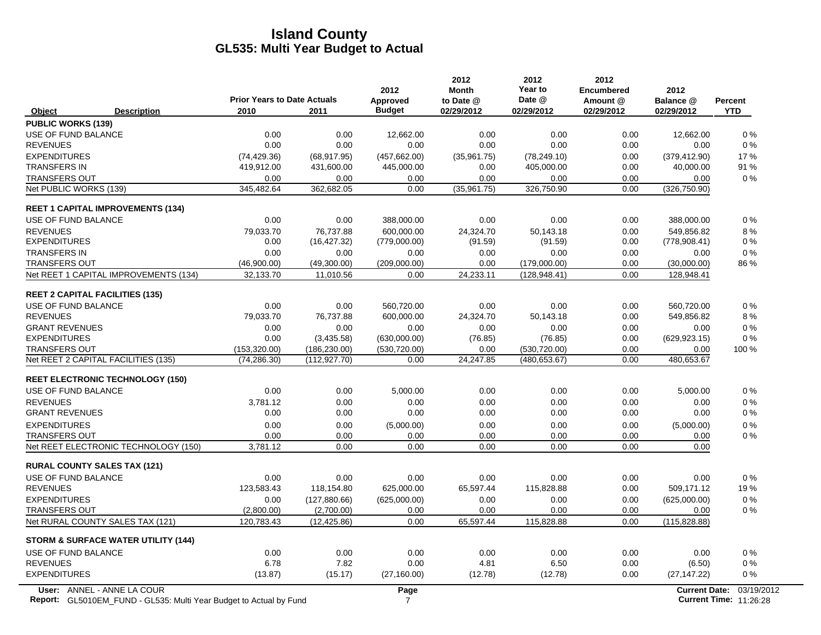| <b>Budget</b><br>2010<br>2011<br>02/29/2012<br><b>YTD</b><br><b>Description</b><br>02/29/2012<br>02/29/2012<br>02/29/2012<br>Object<br><b>PUBLIC WORKS (139)</b><br>USE OF FUND BALANCE<br>0.00<br>0.00<br>0.00<br>0.00<br>0.00<br>12,662.00<br>12,662.00<br><b>REVENUES</b><br>0.00<br>0.00<br>0.00<br>0.00<br>0.00<br>0.00<br>0.00<br><b>EXPENDITURES</b><br>(74, 429.36)<br>(68, 917.95)<br>(457, 662.00)<br>(35,961.75)<br>(78, 249.10)<br>0.00<br>(379, 412.90)<br><b>TRANSFERS IN</b><br>40,000.00<br>419,912.00<br>431,600.00<br>445,000.00<br>0.00<br>405,000.00<br>0.00<br><b>TRANSFERS OUT</b><br>0.00<br>0.00<br>0.00<br>0.00<br>0.00<br>0.00<br>0.00<br>Net PUBLIC WORKS (139)<br>345,482.64<br>362,682.05<br>0.00<br>(35,961.75)<br>326,750.90<br>0.00<br>(326, 750.90)<br><b>REET 1 CAPITAL IMPROVEMENTS (134)</b><br>USE OF FUND BALANCE<br>0.00<br>0.00<br>388,000.00<br>0.00<br>0.00<br>0.00<br>388,000.00<br>600.000.00<br>549.856.82<br><b>REVENUES</b><br>79,033.70<br>76.737.88<br>24.324.70<br>50.143.18<br>0.00<br><b>EXPENDITURES</b><br>(16, 427.32)<br>(779,000.00)<br>0.00<br>(778,908.41)<br>0.00<br>(91.59)<br>(91.59)<br><b>TRANSFERS IN</b><br>0.00<br>0.00<br>0.00<br>0.00<br>0.00<br>0.00<br>0.00<br><b>TRANSFERS OUT</b><br>(46,900.00)<br>(49,300.00)<br>(209,000.00)<br>(179,000.00)<br>(30,000.00)<br>0.00<br>0.00<br>Net REET 1 CAPITAL IMPROVEMENTS (134)<br>32,133.70<br>11,010.56<br>0.00<br>24,233.11<br>(128, 948.41)<br>0.00<br>128,948.41<br><b>REET 2 CAPITAL FACILITIES (135)</b><br>USE OF FUND BALANCE<br>0.00<br>560,720.00<br>0.00<br>0.00<br>0.00<br>0.00<br>560,720.00<br><b>REVENUES</b><br>600,000.00<br>24,324.70<br>0.00<br>549,856.82<br>79,033.70<br>76,737.88<br>50,143.18<br><b>GRANT REVENUES</b><br>0.00<br>0.00<br>0.00<br>0.00<br>0.00<br>0.00<br>0.00<br><b>EXPENDITURES</b><br>0.00<br>(3,435.58)<br>(630,000.00)<br>(76.85)<br>(76.85)<br>0.00<br>(629, 923.15)<br><b>TRANSFERS OUT</b><br>(153, 320.00)<br>(186, 230.00)<br>(530, 720.00)<br>0.00<br>(530, 720.00)<br>0.00<br>0.00<br>Net REET 2 CAPITAL FACILITIES (135)<br>(74, 286.30)<br>(112, 927, 70)<br>24,247.85<br>(480, 653.67)<br>0.00<br>480,653.67<br>0.00<br><b>REET ELECTRONIC TECHNOLOGY (150)</b><br>USE OF FUND BALANCE<br>0.00<br>0.00<br>5,000.00<br>0.00<br>0.00<br>0.00<br>5,000.00<br><b>REVENUES</b><br>3.781.12<br>0.00<br>0.00<br>0.00<br>0.00<br>0.00<br>0.00<br><b>GRANT REVENUES</b><br>0.00<br>0.00<br>0.00<br>0.00<br>0.00<br>0.00<br>0.00<br><b>EXPENDITURES</b><br>0.00<br>0.00<br>(5,000.00)<br>0.00<br>0.00<br>0.00<br>(5,000.00)<br><b>TRANSFERS OUT</b><br>0.00<br>0.00<br>0.00<br>0.00<br>0.00<br>0.00<br>0.00<br>3,781.12<br>Net REET ELECTRONIC TECHNOLOGY (150)<br>0.00<br>0.00<br>0.00<br>0.00<br>0.00<br>0.00<br><b>RURAL COUNTY SALES TAX (121)</b><br>USE OF FUND BALANCE<br>0.00<br>0.00<br>0.00<br>0.00<br>0.00<br>0.00<br>0.00<br><b>REVENUES</b><br>123,583.43<br>118,154.80<br>625,000.00<br>65,597.44<br>115,828.88<br>0.00<br>509,171.12<br><b>EXPENDITURES</b><br>(127, 880.66)<br>(625,000.00)<br>0.00<br>(625,000.00)<br>0.00<br>0.00<br>0.00<br><b>TRANSFERS OUT</b><br>(2,800.00)<br>(2,700.00)<br>0.00<br>0.00<br>0.00<br>0.00<br>0.00<br>Net RURAL COUNTY SALES TAX (121)<br>120,783.43<br>0.00<br>65,597.44<br>115,828.88<br>0.00<br>(12, 425.86)<br>(115, 828.88)<br><b>STORM &amp; SURFACE WATER UTILITY (144)</b><br>USE OF FUND BALANCE<br>0.00<br>0.00<br>0.00<br>0.00<br>0.00<br>0.00<br>0.00<br><b>REVENUES</b><br>6.78<br>7.82<br>0.00<br>4.81<br>6.50<br>0.00<br>(6.50)<br><b>EXPENDITURES</b><br>(13.87)<br>(15.17)<br>(27, 160.00)<br>(12.78)<br>(12.78)<br>0.00<br>(27, 147.22)<br>User: ANNEL - ANNE LA COUR<br>Page<br><b>Current Date:</b> | <b>Prior Years to Date Actuals</b> | 2012<br>Approved | 2012<br><b>Month</b><br>to Date @ | 2012<br>Year to<br>Date @ | 2012<br><b>Encumbered</b><br>Amount @ | 2012<br>Balance @ | <b>Percent</b>                              |
|--------------------------------------------------------------------------------------------------------------------------------------------------------------------------------------------------------------------------------------------------------------------------------------------------------------------------------------------------------------------------------------------------------------------------------------------------------------------------------------------------------------------------------------------------------------------------------------------------------------------------------------------------------------------------------------------------------------------------------------------------------------------------------------------------------------------------------------------------------------------------------------------------------------------------------------------------------------------------------------------------------------------------------------------------------------------------------------------------------------------------------------------------------------------------------------------------------------------------------------------------------------------------------------------------------------------------------------------------------------------------------------------------------------------------------------------------------------------------------------------------------------------------------------------------------------------------------------------------------------------------------------------------------------------------------------------------------------------------------------------------------------------------------------------------------------------------------------------------------------------------------------------------------------------------------------------------------------------------------------------------------------------------------------------------------------------------------------------------------------------------------------------------------------------------------------------------------------------------------------------------------------------------------------------------------------------------------------------------------------------------------------------------------------------------------------------------------------------------------------------------------------------------------------------------------------------------------------------------------------------------------------------------------------------------------------------------------------------------------------------------------------------------------------------------------------------------------------------------------------------------------------------------------------------------------------------------------------------------------------------------------------------------------------------------------------------------------------------------------------------------------------------------------------------------------------------------------------------------------------------------------------------------------------------------------------------------------------------------------------------------------------------------------------------------------------------------------------------------------------------------------------------------------------------------------------------------------------------------------------------------------------------------------------------------------------------------------------------------------------------|------------------------------------|------------------|-----------------------------------|---------------------------|---------------------------------------|-------------------|---------------------------------------------|
|                                                                                                                                                                                                                                                                                                                                                                                                                                                                                                                                                                                                                                                                                                                                                                                                                                                                                                                                                                                                                                                                                                                                                                                                                                                                                                                                                                                                                                                                                                                                                                                                                                                                                                                                                                                                                                                                                                                                                                                                                                                                                                                                                                                                                                                                                                                                                                                                                                                                                                                                                                                                                                                                                                                                                                                                                                                                                                                                                                                                                                                                                                                                                                                                                                                                                                                                                                                                                                                                                                                                                                                                                                                                                                                                            |                                    |                  |                                   |                           |                                       |                   |                                             |
|                                                                                                                                                                                                                                                                                                                                                                                                                                                                                                                                                                                                                                                                                                                                                                                                                                                                                                                                                                                                                                                                                                                                                                                                                                                                                                                                                                                                                                                                                                                                                                                                                                                                                                                                                                                                                                                                                                                                                                                                                                                                                                                                                                                                                                                                                                                                                                                                                                                                                                                                                                                                                                                                                                                                                                                                                                                                                                                                                                                                                                                                                                                                                                                                                                                                                                                                                                                                                                                                                                                                                                                                                                                                                                                                            |                                    |                  |                                   |                           |                                       |                   |                                             |
|                                                                                                                                                                                                                                                                                                                                                                                                                                                                                                                                                                                                                                                                                                                                                                                                                                                                                                                                                                                                                                                                                                                                                                                                                                                                                                                                                                                                                                                                                                                                                                                                                                                                                                                                                                                                                                                                                                                                                                                                                                                                                                                                                                                                                                                                                                                                                                                                                                                                                                                                                                                                                                                                                                                                                                                                                                                                                                                                                                                                                                                                                                                                                                                                                                                                                                                                                                                                                                                                                                                                                                                                                                                                                                                                            |                                    |                  |                                   |                           |                                       |                   | $0\%$                                       |
|                                                                                                                                                                                                                                                                                                                                                                                                                                                                                                                                                                                                                                                                                                                                                                                                                                                                                                                                                                                                                                                                                                                                                                                                                                                                                                                                                                                                                                                                                                                                                                                                                                                                                                                                                                                                                                                                                                                                                                                                                                                                                                                                                                                                                                                                                                                                                                                                                                                                                                                                                                                                                                                                                                                                                                                                                                                                                                                                                                                                                                                                                                                                                                                                                                                                                                                                                                                                                                                                                                                                                                                                                                                                                                                                            |                                    |                  |                                   |                           |                                       |                   | $0\%$                                       |
|                                                                                                                                                                                                                                                                                                                                                                                                                                                                                                                                                                                                                                                                                                                                                                                                                                                                                                                                                                                                                                                                                                                                                                                                                                                                                                                                                                                                                                                                                                                                                                                                                                                                                                                                                                                                                                                                                                                                                                                                                                                                                                                                                                                                                                                                                                                                                                                                                                                                                                                                                                                                                                                                                                                                                                                                                                                                                                                                                                                                                                                                                                                                                                                                                                                                                                                                                                                                                                                                                                                                                                                                                                                                                                                                            |                                    |                  |                                   |                           |                                       |                   | 17%                                         |
|                                                                                                                                                                                                                                                                                                                                                                                                                                                                                                                                                                                                                                                                                                                                                                                                                                                                                                                                                                                                                                                                                                                                                                                                                                                                                                                                                                                                                                                                                                                                                                                                                                                                                                                                                                                                                                                                                                                                                                                                                                                                                                                                                                                                                                                                                                                                                                                                                                                                                                                                                                                                                                                                                                                                                                                                                                                                                                                                                                                                                                                                                                                                                                                                                                                                                                                                                                                                                                                                                                                                                                                                                                                                                                                                            |                                    |                  |                                   |                           |                                       |                   | 91 %                                        |
|                                                                                                                                                                                                                                                                                                                                                                                                                                                                                                                                                                                                                                                                                                                                                                                                                                                                                                                                                                                                                                                                                                                                                                                                                                                                                                                                                                                                                                                                                                                                                                                                                                                                                                                                                                                                                                                                                                                                                                                                                                                                                                                                                                                                                                                                                                                                                                                                                                                                                                                                                                                                                                                                                                                                                                                                                                                                                                                                                                                                                                                                                                                                                                                                                                                                                                                                                                                                                                                                                                                                                                                                                                                                                                                                            |                                    |                  |                                   |                           |                                       |                   | 0%                                          |
|                                                                                                                                                                                                                                                                                                                                                                                                                                                                                                                                                                                                                                                                                                                                                                                                                                                                                                                                                                                                                                                                                                                                                                                                                                                                                                                                                                                                                                                                                                                                                                                                                                                                                                                                                                                                                                                                                                                                                                                                                                                                                                                                                                                                                                                                                                                                                                                                                                                                                                                                                                                                                                                                                                                                                                                                                                                                                                                                                                                                                                                                                                                                                                                                                                                                                                                                                                                                                                                                                                                                                                                                                                                                                                                                            |                                    |                  |                                   |                           |                                       |                   |                                             |
|                                                                                                                                                                                                                                                                                                                                                                                                                                                                                                                                                                                                                                                                                                                                                                                                                                                                                                                                                                                                                                                                                                                                                                                                                                                                                                                                                                                                                                                                                                                                                                                                                                                                                                                                                                                                                                                                                                                                                                                                                                                                                                                                                                                                                                                                                                                                                                                                                                                                                                                                                                                                                                                                                                                                                                                                                                                                                                                                                                                                                                                                                                                                                                                                                                                                                                                                                                                                                                                                                                                                                                                                                                                                                                                                            |                                    |                  |                                   |                           |                                       |                   |                                             |
|                                                                                                                                                                                                                                                                                                                                                                                                                                                                                                                                                                                                                                                                                                                                                                                                                                                                                                                                                                                                                                                                                                                                                                                                                                                                                                                                                                                                                                                                                                                                                                                                                                                                                                                                                                                                                                                                                                                                                                                                                                                                                                                                                                                                                                                                                                                                                                                                                                                                                                                                                                                                                                                                                                                                                                                                                                                                                                                                                                                                                                                                                                                                                                                                                                                                                                                                                                                                                                                                                                                                                                                                                                                                                                                                            |                                    |                  |                                   |                           |                                       |                   | 0%                                          |
|                                                                                                                                                                                                                                                                                                                                                                                                                                                                                                                                                                                                                                                                                                                                                                                                                                                                                                                                                                                                                                                                                                                                                                                                                                                                                                                                                                                                                                                                                                                                                                                                                                                                                                                                                                                                                                                                                                                                                                                                                                                                                                                                                                                                                                                                                                                                                                                                                                                                                                                                                                                                                                                                                                                                                                                                                                                                                                                                                                                                                                                                                                                                                                                                                                                                                                                                                                                                                                                                                                                                                                                                                                                                                                                                            |                                    |                  |                                   |                           |                                       |                   | 8%                                          |
|                                                                                                                                                                                                                                                                                                                                                                                                                                                                                                                                                                                                                                                                                                                                                                                                                                                                                                                                                                                                                                                                                                                                                                                                                                                                                                                                                                                                                                                                                                                                                                                                                                                                                                                                                                                                                                                                                                                                                                                                                                                                                                                                                                                                                                                                                                                                                                                                                                                                                                                                                                                                                                                                                                                                                                                                                                                                                                                                                                                                                                                                                                                                                                                                                                                                                                                                                                                                                                                                                                                                                                                                                                                                                                                                            |                                    |                  |                                   |                           |                                       |                   | $0\%$                                       |
|                                                                                                                                                                                                                                                                                                                                                                                                                                                                                                                                                                                                                                                                                                                                                                                                                                                                                                                                                                                                                                                                                                                                                                                                                                                                                                                                                                                                                                                                                                                                                                                                                                                                                                                                                                                                                                                                                                                                                                                                                                                                                                                                                                                                                                                                                                                                                                                                                                                                                                                                                                                                                                                                                                                                                                                                                                                                                                                                                                                                                                                                                                                                                                                                                                                                                                                                                                                                                                                                                                                                                                                                                                                                                                                                            |                                    |                  |                                   |                           |                                       |                   | $0\%$                                       |
|                                                                                                                                                                                                                                                                                                                                                                                                                                                                                                                                                                                                                                                                                                                                                                                                                                                                                                                                                                                                                                                                                                                                                                                                                                                                                                                                                                                                                                                                                                                                                                                                                                                                                                                                                                                                                                                                                                                                                                                                                                                                                                                                                                                                                                                                                                                                                                                                                                                                                                                                                                                                                                                                                                                                                                                                                                                                                                                                                                                                                                                                                                                                                                                                                                                                                                                                                                                                                                                                                                                                                                                                                                                                                                                                            |                                    |                  |                                   |                           |                                       |                   | 86 %                                        |
|                                                                                                                                                                                                                                                                                                                                                                                                                                                                                                                                                                                                                                                                                                                                                                                                                                                                                                                                                                                                                                                                                                                                                                                                                                                                                                                                                                                                                                                                                                                                                                                                                                                                                                                                                                                                                                                                                                                                                                                                                                                                                                                                                                                                                                                                                                                                                                                                                                                                                                                                                                                                                                                                                                                                                                                                                                                                                                                                                                                                                                                                                                                                                                                                                                                                                                                                                                                                                                                                                                                                                                                                                                                                                                                                            |                                    |                  |                                   |                           |                                       |                   |                                             |
|                                                                                                                                                                                                                                                                                                                                                                                                                                                                                                                                                                                                                                                                                                                                                                                                                                                                                                                                                                                                                                                                                                                                                                                                                                                                                                                                                                                                                                                                                                                                                                                                                                                                                                                                                                                                                                                                                                                                                                                                                                                                                                                                                                                                                                                                                                                                                                                                                                                                                                                                                                                                                                                                                                                                                                                                                                                                                                                                                                                                                                                                                                                                                                                                                                                                                                                                                                                                                                                                                                                                                                                                                                                                                                                                            |                                    |                  |                                   |                           |                                       |                   |                                             |
|                                                                                                                                                                                                                                                                                                                                                                                                                                                                                                                                                                                                                                                                                                                                                                                                                                                                                                                                                                                                                                                                                                                                                                                                                                                                                                                                                                                                                                                                                                                                                                                                                                                                                                                                                                                                                                                                                                                                                                                                                                                                                                                                                                                                                                                                                                                                                                                                                                                                                                                                                                                                                                                                                                                                                                                                                                                                                                                                                                                                                                                                                                                                                                                                                                                                                                                                                                                                                                                                                                                                                                                                                                                                                                                                            |                                    |                  |                                   |                           |                                       |                   | $0\%$                                       |
|                                                                                                                                                                                                                                                                                                                                                                                                                                                                                                                                                                                                                                                                                                                                                                                                                                                                                                                                                                                                                                                                                                                                                                                                                                                                                                                                                                                                                                                                                                                                                                                                                                                                                                                                                                                                                                                                                                                                                                                                                                                                                                                                                                                                                                                                                                                                                                                                                                                                                                                                                                                                                                                                                                                                                                                                                                                                                                                                                                                                                                                                                                                                                                                                                                                                                                                                                                                                                                                                                                                                                                                                                                                                                                                                            |                                    |                  |                                   |                           |                                       |                   | 8%                                          |
|                                                                                                                                                                                                                                                                                                                                                                                                                                                                                                                                                                                                                                                                                                                                                                                                                                                                                                                                                                                                                                                                                                                                                                                                                                                                                                                                                                                                                                                                                                                                                                                                                                                                                                                                                                                                                                                                                                                                                                                                                                                                                                                                                                                                                                                                                                                                                                                                                                                                                                                                                                                                                                                                                                                                                                                                                                                                                                                                                                                                                                                                                                                                                                                                                                                                                                                                                                                                                                                                                                                                                                                                                                                                                                                                            |                                    |                  |                                   |                           |                                       |                   | $0\%$                                       |
|                                                                                                                                                                                                                                                                                                                                                                                                                                                                                                                                                                                                                                                                                                                                                                                                                                                                                                                                                                                                                                                                                                                                                                                                                                                                                                                                                                                                                                                                                                                                                                                                                                                                                                                                                                                                                                                                                                                                                                                                                                                                                                                                                                                                                                                                                                                                                                                                                                                                                                                                                                                                                                                                                                                                                                                                                                                                                                                                                                                                                                                                                                                                                                                                                                                                                                                                                                                                                                                                                                                                                                                                                                                                                                                                            |                                    |                  |                                   |                           |                                       |                   | $0\%$                                       |
|                                                                                                                                                                                                                                                                                                                                                                                                                                                                                                                                                                                                                                                                                                                                                                                                                                                                                                                                                                                                                                                                                                                                                                                                                                                                                                                                                                                                                                                                                                                                                                                                                                                                                                                                                                                                                                                                                                                                                                                                                                                                                                                                                                                                                                                                                                                                                                                                                                                                                                                                                                                                                                                                                                                                                                                                                                                                                                                                                                                                                                                                                                                                                                                                                                                                                                                                                                                                                                                                                                                                                                                                                                                                                                                                            |                                    |                  |                                   |                           |                                       |                   | 100 %                                       |
|                                                                                                                                                                                                                                                                                                                                                                                                                                                                                                                                                                                                                                                                                                                                                                                                                                                                                                                                                                                                                                                                                                                                                                                                                                                                                                                                                                                                                                                                                                                                                                                                                                                                                                                                                                                                                                                                                                                                                                                                                                                                                                                                                                                                                                                                                                                                                                                                                                                                                                                                                                                                                                                                                                                                                                                                                                                                                                                                                                                                                                                                                                                                                                                                                                                                                                                                                                                                                                                                                                                                                                                                                                                                                                                                            |                                    |                  |                                   |                           |                                       |                   |                                             |
|                                                                                                                                                                                                                                                                                                                                                                                                                                                                                                                                                                                                                                                                                                                                                                                                                                                                                                                                                                                                                                                                                                                                                                                                                                                                                                                                                                                                                                                                                                                                                                                                                                                                                                                                                                                                                                                                                                                                                                                                                                                                                                                                                                                                                                                                                                                                                                                                                                                                                                                                                                                                                                                                                                                                                                                                                                                                                                                                                                                                                                                                                                                                                                                                                                                                                                                                                                                                                                                                                                                                                                                                                                                                                                                                            |                                    |                  |                                   |                           |                                       |                   |                                             |
|                                                                                                                                                                                                                                                                                                                                                                                                                                                                                                                                                                                                                                                                                                                                                                                                                                                                                                                                                                                                                                                                                                                                                                                                                                                                                                                                                                                                                                                                                                                                                                                                                                                                                                                                                                                                                                                                                                                                                                                                                                                                                                                                                                                                                                                                                                                                                                                                                                                                                                                                                                                                                                                                                                                                                                                                                                                                                                                                                                                                                                                                                                                                                                                                                                                                                                                                                                                                                                                                                                                                                                                                                                                                                                                                            |                                    |                  |                                   |                           |                                       |                   |                                             |
|                                                                                                                                                                                                                                                                                                                                                                                                                                                                                                                                                                                                                                                                                                                                                                                                                                                                                                                                                                                                                                                                                                                                                                                                                                                                                                                                                                                                                                                                                                                                                                                                                                                                                                                                                                                                                                                                                                                                                                                                                                                                                                                                                                                                                                                                                                                                                                                                                                                                                                                                                                                                                                                                                                                                                                                                                                                                                                                                                                                                                                                                                                                                                                                                                                                                                                                                                                                                                                                                                                                                                                                                                                                                                                                                            |                                    |                  |                                   |                           |                                       |                   | 0%                                          |
|                                                                                                                                                                                                                                                                                                                                                                                                                                                                                                                                                                                                                                                                                                                                                                                                                                                                                                                                                                                                                                                                                                                                                                                                                                                                                                                                                                                                                                                                                                                                                                                                                                                                                                                                                                                                                                                                                                                                                                                                                                                                                                                                                                                                                                                                                                                                                                                                                                                                                                                                                                                                                                                                                                                                                                                                                                                                                                                                                                                                                                                                                                                                                                                                                                                                                                                                                                                                                                                                                                                                                                                                                                                                                                                                            |                                    |                  |                                   |                           |                                       |                   | 0%<br>$0\%$                                 |
|                                                                                                                                                                                                                                                                                                                                                                                                                                                                                                                                                                                                                                                                                                                                                                                                                                                                                                                                                                                                                                                                                                                                                                                                                                                                                                                                                                                                                                                                                                                                                                                                                                                                                                                                                                                                                                                                                                                                                                                                                                                                                                                                                                                                                                                                                                                                                                                                                                                                                                                                                                                                                                                                                                                                                                                                                                                                                                                                                                                                                                                                                                                                                                                                                                                                                                                                                                                                                                                                                                                                                                                                                                                                                                                                            |                                    |                  |                                   |                           |                                       |                   | $0\%$                                       |
|                                                                                                                                                                                                                                                                                                                                                                                                                                                                                                                                                                                                                                                                                                                                                                                                                                                                                                                                                                                                                                                                                                                                                                                                                                                                                                                                                                                                                                                                                                                                                                                                                                                                                                                                                                                                                                                                                                                                                                                                                                                                                                                                                                                                                                                                                                                                                                                                                                                                                                                                                                                                                                                                                                                                                                                                                                                                                                                                                                                                                                                                                                                                                                                                                                                                                                                                                                                                                                                                                                                                                                                                                                                                                                                                            |                                    |                  |                                   |                           |                                       |                   | $0\%$                                       |
|                                                                                                                                                                                                                                                                                                                                                                                                                                                                                                                                                                                                                                                                                                                                                                                                                                                                                                                                                                                                                                                                                                                                                                                                                                                                                                                                                                                                                                                                                                                                                                                                                                                                                                                                                                                                                                                                                                                                                                                                                                                                                                                                                                                                                                                                                                                                                                                                                                                                                                                                                                                                                                                                                                                                                                                                                                                                                                                                                                                                                                                                                                                                                                                                                                                                                                                                                                                                                                                                                                                                                                                                                                                                                                                                            |                                    |                  |                                   |                           |                                       |                   |                                             |
|                                                                                                                                                                                                                                                                                                                                                                                                                                                                                                                                                                                                                                                                                                                                                                                                                                                                                                                                                                                                                                                                                                                                                                                                                                                                                                                                                                                                                                                                                                                                                                                                                                                                                                                                                                                                                                                                                                                                                                                                                                                                                                                                                                                                                                                                                                                                                                                                                                                                                                                                                                                                                                                                                                                                                                                                                                                                                                                                                                                                                                                                                                                                                                                                                                                                                                                                                                                                                                                                                                                                                                                                                                                                                                                                            |                                    |                  |                                   |                           |                                       |                   |                                             |
|                                                                                                                                                                                                                                                                                                                                                                                                                                                                                                                                                                                                                                                                                                                                                                                                                                                                                                                                                                                                                                                                                                                                                                                                                                                                                                                                                                                                                                                                                                                                                                                                                                                                                                                                                                                                                                                                                                                                                                                                                                                                                                                                                                                                                                                                                                                                                                                                                                                                                                                                                                                                                                                                                                                                                                                                                                                                                                                                                                                                                                                                                                                                                                                                                                                                                                                                                                                                                                                                                                                                                                                                                                                                                                                                            |                                    |                  |                                   |                           |                                       |                   |                                             |
|                                                                                                                                                                                                                                                                                                                                                                                                                                                                                                                                                                                                                                                                                                                                                                                                                                                                                                                                                                                                                                                                                                                                                                                                                                                                                                                                                                                                                                                                                                                                                                                                                                                                                                                                                                                                                                                                                                                                                                                                                                                                                                                                                                                                                                                                                                                                                                                                                                                                                                                                                                                                                                                                                                                                                                                                                                                                                                                                                                                                                                                                                                                                                                                                                                                                                                                                                                                                                                                                                                                                                                                                                                                                                                                                            |                                    |                  |                                   |                           |                                       |                   | $0\%$                                       |
|                                                                                                                                                                                                                                                                                                                                                                                                                                                                                                                                                                                                                                                                                                                                                                                                                                                                                                                                                                                                                                                                                                                                                                                                                                                                                                                                                                                                                                                                                                                                                                                                                                                                                                                                                                                                                                                                                                                                                                                                                                                                                                                                                                                                                                                                                                                                                                                                                                                                                                                                                                                                                                                                                                                                                                                                                                                                                                                                                                                                                                                                                                                                                                                                                                                                                                                                                                                                                                                                                                                                                                                                                                                                                                                                            |                                    |                  |                                   |                           |                                       |                   | 19%                                         |
|                                                                                                                                                                                                                                                                                                                                                                                                                                                                                                                                                                                                                                                                                                                                                                                                                                                                                                                                                                                                                                                                                                                                                                                                                                                                                                                                                                                                                                                                                                                                                                                                                                                                                                                                                                                                                                                                                                                                                                                                                                                                                                                                                                                                                                                                                                                                                                                                                                                                                                                                                                                                                                                                                                                                                                                                                                                                                                                                                                                                                                                                                                                                                                                                                                                                                                                                                                                                                                                                                                                                                                                                                                                                                                                                            |                                    |                  |                                   |                           |                                       |                   | $0\%$                                       |
|                                                                                                                                                                                                                                                                                                                                                                                                                                                                                                                                                                                                                                                                                                                                                                                                                                                                                                                                                                                                                                                                                                                                                                                                                                                                                                                                                                                                                                                                                                                                                                                                                                                                                                                                                                                                                                                                                                                                                                                                                                                                                                                                                                                                                                                                                                                                                                                                                                                                                                                                                                                                                                                                                                                                                                                                                                                                                                                                                                                                                                                                                                                                                                                                                                                                                                                                                                                                                                                                                                                                                                                                                                                                                                                                            |                                    |                  |                                   |                           |                                       |                   | $0\%$                                       |
|                                                                                                                                                                                                                                                                                                                                                                                                                                                                                                                                                                                                                                                                                                                                                                                                                                                                                                                                                                                                                                                                                                                                                                                                                                                                                                                                                                                                                                                                                                                                                                                                                                                                                                                                                                                                                                                                                                                                                                                                                                                                                                                                                                                                                                                                                                                                                                                                                                                                                                                                                                                                                                                                                                                                                                                                                                                                                                                                                                                                                                                                                                                                                                                                                                                                                                                                                                                                                                                                                                                                                                                                                                                                                                                                            |                                    |                  |                                   |                           |                                       |                   |                                             |
|                                                                                                                                                                                                                                                                                                                                                                                                                                                                                                                                                                                                                                                                                                                                                                                                                                                                                                                                                                                                                                                                                                                                                                                                                                                                                                                                                                                                                                                                                                                                                                                                                                                                                                                                                                                                                                                                                                                                                                                                                                                                                                                                                                                                                                                                                                                                                                                                                                                                                                                                                                                                                                                                                                                                                                                                                                                                                                                                                                                                                                                                                                                                                                                                                                                                                                                                                                                                                                                                                                                                                                                                                                                                                                                                            |                                    |                  |                                   |                           |                                       |                   |                                             |
|                                                                                                                                                                                                                                                                                                                                                                                                                                                                                                                                                                                                                                                                                                                                                                                                                                                                                                                                                                                                                                                                                                                                                                                                                                                                                                                                                                                                                                                                                                                                                                                                                                                                                                                                                                                                                                                                                                                                                                                                                                                                                                                                                                                                                                                                                                                                                                                                                                                                                                                                                                                                                                                                                                                                                                                                                                                                                                                                                                                                                                                                                                                                                                                                                                                                                                                                                                                                                                                                                                                                                                                                                                                                                                                                            |                                    |                  |                                   |                           |                                       |                   | $0\%$                                       |
|                                                                                                                                                                                                                                                                                                                                                                                                                                                                                                                                                                                                                                                                                                                                                                                                                                                                                                                                                                                                                                                                                                                                                                                                                                                                                                                                                                                                                                                                                                                                                                                                                                                                                                                                                                                                                                                                                                                                                                                                                                                                                                                                                                                                                                                                                                                                                                                                                                                                                                                                                                                                                                                                                                                                                                                                                                                                                                                                                                                                                                                                                                                                                                                                                                                                                                                                                                                                                                                                                                                                                                                                                                                                                                                                            |                                    |                  |                                   |                           |                                       |                   | $0\%$                                       |
|                                                                                                                                                                                                                                                                                                                                                                                                                                                                                                                                                                                                                                                                                                                                                                                                                                                                                                                                                                                                                                                                                                                                                                                                                                                                                                                                                                                                                                                                                                                                                                                                                                                                                                                                                                                                                                                                                                                                                                                                                                                                                                                                                                                                                                                                                                                                                                                                                                                                                                                                                                                                                                                                                                                                                                                                                                                                                                                                                                                                                                                                                                                                                                                                                                                                                                                                                                                                                                                                                                                                                                                                                                                                                                                                            |                                    |                  |                                   |                           |                                       |                   | $0\%$                                       |
| Report: GL5010EM_FUND - GL535: Multi Year Budget to Actual by Fund<br>$\overline{7}$                                                                                                                                                                                                                                                                                                                                                                                                                                                                                                                                                                                                                                                                                                                                                                                                                                                                                                                                                                                                                                                                                                                                                                                                                                                                                                                                                                                                                                                                                                                                                                                                                                                                                                                                                                                                                                                                                                                                                                                                                                                                                                                                                                                                                                                                                                                                                                                                                                                                                                                                                                                                                                                                                                                                                                                                                                                                                                                                                                                                                                                                                                                                                                                                                                                                                                                                                                                                                                                                                                                                                                                                                                                       |                                    |                  |                                   |                           |                                       |                   | 03/19/2012<br><b>Current Time: 11:26:28</b> |

**Report:** GL5010EM\_FUND - GL535: Multi Year Budget to Actual by Fund 11:26:28 11:26:28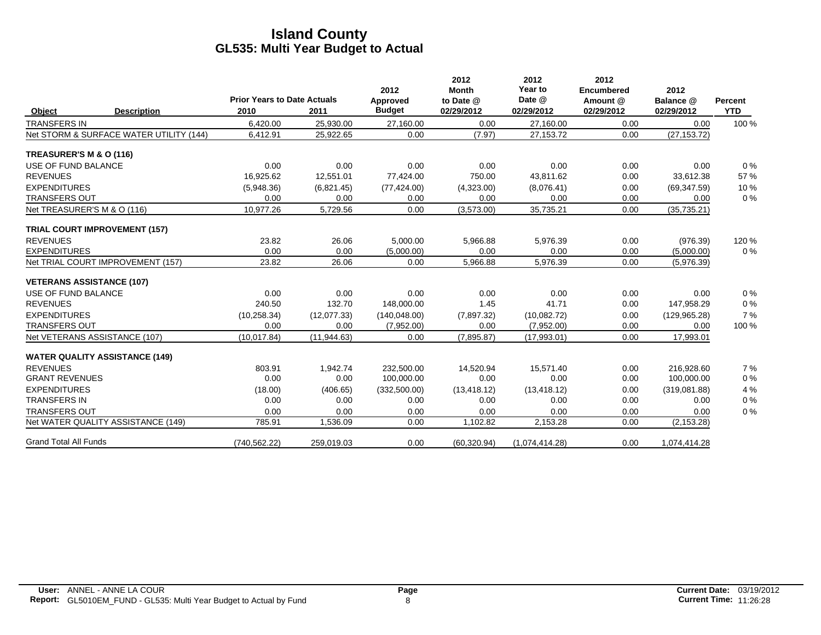|                              |                                         | <b>Prior Years to Date Actuals</b> |              | 2012<br>Approved | 2012<br><b>Month</b><br>to Date @ | 2012<br>Year to<br>Date @ | 2012<br><b>Encumbered</b><br>Amount @ | 2012<br>Balance @ | <b>Percent</b> |
|------------------------------|-----------------------------------------|------------------------------------|--------------|------------------|-----------------------------------|---------------------------|---------------------------------------|-------------------|----------------|
| Object                       | <b>Description</b>                      | 2010                               | 2011         | <b>Budget</b>    | 02/29/2012                        | 02/29/2012                | 02/29/2012                            | 02/29/2012        | <b>YTD</b>     |
| <b>TRANSFERS IN</b>          |                                         | 6,420.00                           | 25,930.00    | 27,160.00        | 0.00                              | 27,160.00                 | 0.00                                  | 0.00              | 100 %          |
|                              | Net STORM & SURFACE WATER UTILITY (144) | 6,412.91                           | 25,922.65    | 0.00             | (7.97)                            | 27,153.72                 | 0.00                                  | (27, 153.72)      |                |
| TREASURER'S M & O (116)      |                                         |                                    |              |                  |                                   |                           |                                       |                   |                |
| USE OF FUND BALANCE          |                                         | 0.00                               | 0.00         | 0.00             | 0.00                              | 0.00                      | 0.00                                  | 0.00              | 0%             |
| <b>REVENUES</b>              |                                         | 16,925.62                          | 12,551.01    | 77,424.00        | 750.00                            | 43,811.62                 | 0.00                                  | 33,612.38         | 57 %           |
| <b>EXPENDITURES</b>          |                                         | (5,948.36)                         | (6,821.45)   | (77, 424.00)     | (4,323.00)                        | (8,076.41)                | 0.00                                  | (69, 347.59)      | 10%            |
| <b>TRANSFERS OUT</b>         |                                         | 0.00                               | 0.00         | 0.00             | 0.00                              | 0.00                      | 0.00                                  | 0.00              | $0\%$          |
| Net TREASURER'S M & O (116)  |                                         | 10,977.26                          | 5,729.56     | 0.00             | (3,573.00)                        | 35,735.21                 | 0.00                                  | (35, 735.21)      |                |
|                              | <b>TRIAL COURT IMPROVEMENT (157)</b>    |                                    |              |                  |                                   |                           |                                       |                   |                |
| <b>REVENUES</b>              |                                         | 23.82                              | 26.06        | 5,000.00         | 5,966.88                          | 5,976.39                  | 0.00                                  | (976.39)          | 120 %          |
| <b>EXPENDITURES</b>          |                                         | 0.00                               | 0.00         | (5,000.00)       | 0.00                              | 0.00                      | 0.00                                  | (5,000.00)        | 0%             |
|                              | Net TRIAL COURT IMPROVEMENT (157)       | 23.82                              | 26.06        | 0.00             | 5,966.88                          | 5,976.39                  | 0.00                                  | (5,976.39)        |                |
|                              | <b>VETERANS ASSISTANCE (107)</b>        |                                    |              |                  |                                   |                           |                                       |                   |                |
| USE OF FUND BALANCE          |                                         | 0.00                               | 0.00         | 0.00             | 0.00                              | 0.00                      | 0.00                                  | 0.00              | 0%             |
| <b>REVENUES</b>              |                                         | 240.50                             | 132.70       | 148,000.00       | 1.45                              | 41.71                     | 0.00                                  | 147,958.29        | 0%             |
| <b>EXPENDITURES</b>          |                                         | (10, 258.34)                       | (12,077.33)  | (140, 048.00)    | (7,897.32)                        | (10,082.72)               | 0.00                                  | (129.965.28)      | 7%             |
| <b>TRANSFERS OUT</b>         |                                         | 0.00                               | 0.00         | (7,952.00)       | 0.00                              | (7,952.00)                | 0.00                                  | 0.00              | 100 %          |
|                              | Net VETERANS ASSISTANCE (107)           | (10.017.84)                        | (11, 944.63) | 0.00             | (7,895.87)                        | (17,993.01)               | 0.00                                  | 17,993.01         |                |
|                              | <b>WATER QUALITY ASSISTANCE (149)</b>   |                                    |              |                  |                                   |                           |                                       |                   |                |
| <b>REVENUES</b>              |                                         | 803.91                             | 1,942.74     | 232,500.00       | 14,520.94                         | 15,571.40                 | 0.00                                  | 216,928.60        | 7 %            |
| <b>GRANT REVENUES</b>        |                                         | 0.00                               | 0.00         | 100,000.00       | 0.00                              | 0.00                      | 0.00                                  | 100,000.00        | 0%             |
| <b>EXPENDITURES</b>          |                                         | (18.00)                            | (406.65)     | (332, 500.00)    | (13, 418.12)                      | (13, 418.12)              | 0.00                                  | (319,081.88)      | 4 %            |
| <b>TRANSFERS IN</b>          |                                         | 0.00                               | 0.00         | 0.00             | 0.00                              | 0.00                      | 0.00                                  | 0.00              | 0%             |
| <b>TRANSFERS OUT</b>         |                                         | 0.00                               | 0.00         | 0.00             | 0.00                              | 0.00                      | 0.00                                  | 0.00              | 0%             |
|                              | Net WATER QUALITY ASSISTANCE (149)      | 785.91                             | 1,536.09     | 0.00             | 1,102.82                          | 2,153.28                  | 0.00                                  | (2, 153.28)       |                |
| <b>Grand Total All Funds</b> |                                         | (740, 562.22)                      | 259,019.03   | 0.00             | (60, 320.94)                      | (1,074,414.28)            | 0.00                                  | 1,074,414.28      |                |